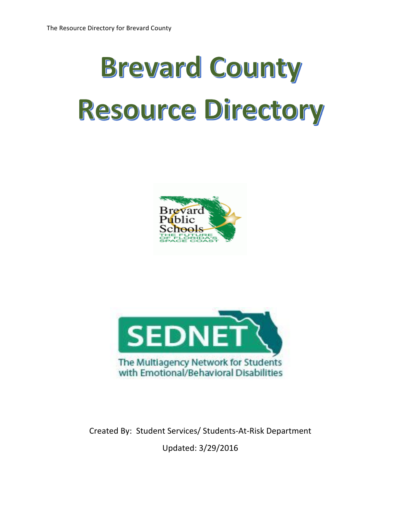# **Brevard County** Resource Directory





Created By: Student Services/ Students-At-Risk Department Updated: 3/29/2016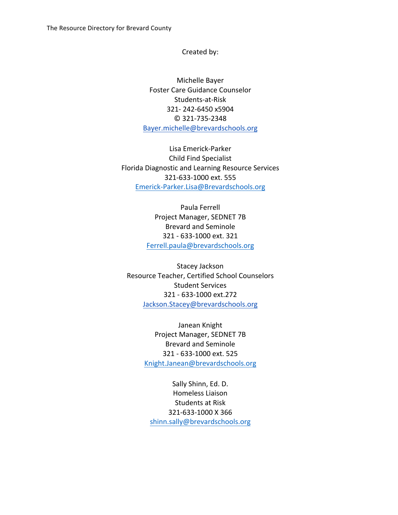Created by:

Michelle Bayer Foster Care Guidance Counselor Students-at-Risk 321- 242-6450 x5904 © 321-735-2348 Bayer.michelle@brevardschools.org

Lisa Emerick-Parker Child Find Specialist Florida Diagnostic and Learning Resource Services 321-633-1000 ext. 555 Emerick-Parker.Lisa@Brevardschools.org

> Paula Ferrell Project Manager, SEDNET 7B Brevard and Seminole 321 - 633-1000 ext. 321 Ferrell.paula@brevardschools.org

Stacey Jackson Resource Teacher, Certified School Counselors Student Services 321 - 633-1000 ext.272 Jackson.Stacey@brevardschools.org

> Janean Knight Project Manager, SEDNET 7B Brevard and Seminole 321 - 633-1000 ext. 525 Knight.Janean@brevardschools.org

Sally Shinn, Ed. D. Homeless Liaison Students at Risk 321-633-1000 X 366 shinn.sally@brevardschools.org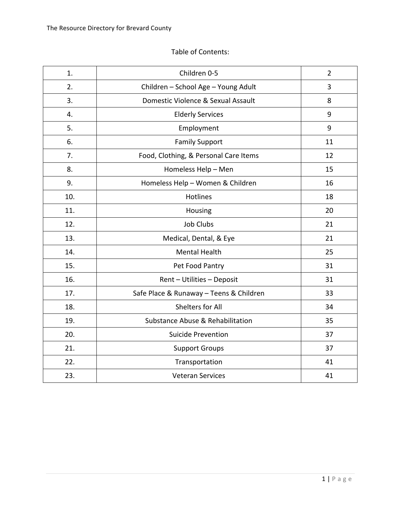#### Table of Contents:

| 1.  | Children 0-5                            | $\overline{2}$ |
|-----|-----------------------------------------|----------------|
| 2.  | Children - School Age - Young Adult     | 3              |
| 3.  | Domestic Violence & Sexual Assault      | 8              |
| 4.  | <b>Elderly Services</b>                 | 9              |
| 5.  | Employment                              | 9              |
| 6.  | <b>Family Support</b>                   | 11             |
| 7.  | Food, Clothing, & Personal Care Items   | 12             |
| 8.  | Homeless Help - Men                     | 15             |
| 9.  | Homeless Help - Women & Children        | 16             |
| 10. | Hotlines                                | 18             |
| 11. | Housing                                 | 20             |
| 12. | <b>Job Clubs</b>                        | 21             |
| 13. | Medical, Dental, & Eye                  | 21             |
| 14. | <b>Mental Health</b>                    | 25             |
| 15. | Pet Food Pantry                         | 31             |
| 16. | Rent - Utilities - Deposit              | 31             |
| 17. | Safe Place & Runaway - Teens & Children | 33             |
| 18. | Shelters for All                        | 34             |
| 19. | Substance Abuse & Rehabilitation        | 35             |
| 20. | <b>Suicide Prevention</b>               | 37             |
| 21. | <b>Support Groups</b>                   | 37             |
| 22. | Transportation                          | 41             |
| 23. | <b>Veteran Services</b>                 | 41             |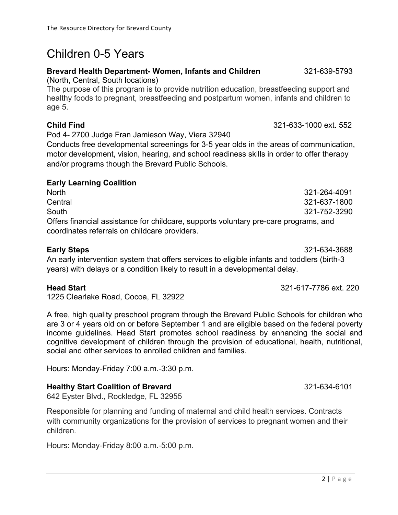# Children 0-5 Years

#### **Brevard Health Department- Women, Infants and Children** 321-639-5793

(North, Central, South locations)

The purpose of this program is to provide nutrition education, breastfeeding support and healthy foods to pregnant, breastfeeding and postpartum women, infants and children to age 5.

#### **Child Find** 321-633-1000 ext. 552

Pod 4- 2700 Judge Fran Jamieson Way, Viera 32940

Conducts free developmental screenings for 3-5 year olds in the areas of communication, motor development, vision, hearing, and school readiness skills in order to offer therapy and/or programs though the Brevard Public Schools.

#### **Early Learning Coalition**

North 321-264-4091 Central 321-637-1800 South 321-752-3290 Offers financial assistance for childcare, supports voluntary pre-care programs, and coordinates referrals on childcare providers.

years) with delays or a condition likely to result in a developmental delay.

**Early Steps** 321-634-3688 An early intervention system that offers services to eligible infants and toddlers (birth-3

**Head Start** 321-617-7786 ext. 220

1225 Clearlake Road, Cocoa, FL 32922

A free, high quality preschool program through the Brevard Public Schools for children who are 3 or 4 years old on or before September 1 and are eligible based on the federal poverty income guidelines. Head Start promotes school readiness by enhancing the social and cognitive development of children through the provision of educational, health, nutritional, social and other services to enrolled children and families.

Hours: Monday-Friday 7:00 a.m.-3:30 p.m.

#### **Healthy Start Coalition of Brevard** 321-634-6101

642 Eyster Blvd., Rockledge, FL 32955

Responsible for planning and funding of maternal and child health services. Contracts with community organizations for the provision of services to pregnant women and their children.

Hours: Monday-Friday 8:00 a.m.-5:00 p.m.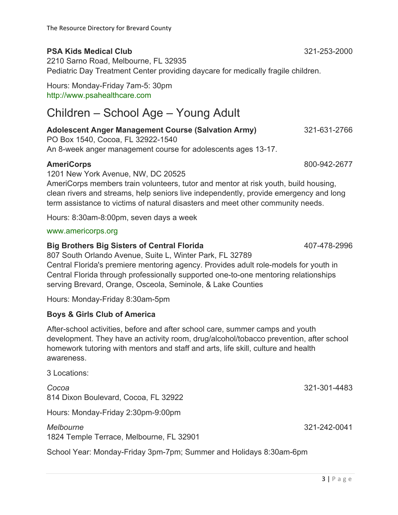#### **PSA Kids Medical Club** 321-253-2000

2210 Sarno Road, Melbourne, FL 32935 Pediatric Day Treatment Center providing daycare for medically fragile children.

Hours: Monday-Friday 7am-5: 30pm http://www.psahealthcare.com

# Children – School Age – Young Adult

#### **Adolescent Anger Management Course (Salvation Army)** 321-631-2766 PO Box 1540, Cocoa, FL 32922-1540

An 8-week anger management course for adolescents ages 13-17.

#### **AmeriCorps** 800-942-2677

1201 New York Avenue, NW, DC 20525 AmeriCorps members train volunteers, tutor and mentor at risk youth, build housing, clean rivers and streams, help seniors live independently, provide emergency and long term assistance to victims of natural disasters and meet other community needs.

Hours: 8:30am-8:00pm, seven days a week

#### www.americorps.org

#### **Big Brothers Big Sisters of Central Florida** 407-478-2996

807 South Orlando Avenue, Suite L, Winter Park, FL 32789 Central Florida's premiere mentoring agency. Provides adult role-models for youth in Central Florida through professionally supported one-to-one mentoring relationships serving Brevard, Orange, Osceola, Seminole, & Lake Counties

Hours: Monday-Friday 8:30am-5pm

#### **Boys & Girls Club of America**

After-school activities, before and after school care, summer camps and youth development. They have an activity room, drug/alcohol/tobacco prevention, after school homework tutoring with mentors and staff and arts, life skill, culture and health awareness.

3 Locations:

*Cocoa* 321-301-4483 814 Dixon Boulevard, Cocoa, FL 32922

Hours: Monday-Friday 2:30pm-9:00pm

*Melbourne* 321-242-0041 1824 Temple Terrace, Melbourne, FL 32901

School Year: Monday-Friday 3pm-7pm; Summer and Holidays 8:30am-6pm

 $3 | P \text{age}$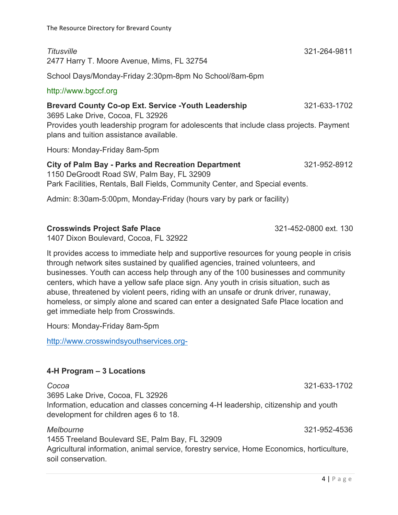*Titusville* 321-264-9811

2477 Harry T. Moore Avenue, Mims, FL 32754

The Resource Directory for Brevard County

School Days/Monday-Friday 2:30pm-8pm No School/8am-6pm

#### http://www.bgccf.org

**Brevard County Co-op Ext. Service -Youth Leadership** 321-633-1702 3695 Lake Drive, Cocoa, FL 32926 Provides youth leadership program for adolescents that include class projects. Payment plans and tuition assistance available.

Hours: Monday-Friday 8am-5pm

**City of Palm Bay - Parks and Recreation Department** 321-952-8912 1150 DeGroodt Road SW, Palm Bay, FL 32909 Park Facilities, Rentals, Ball Fields, Community Center, and Special events.

Admin: 8:30am-5:00pm, Monday-Friday (hours vary by park or facility)

#### **Crosswinds Project Safe Place** 321-452-0800 ext. 130

1407 Dixon Boulevard, Cocoa, FL 32922

It provides access to immediate help and supportive resources for young people in crisis through network sites sustained by qualified agencies, trained volunteers, and businesses. Youth can access help through any of the 100 businesses and community centers, which have a yellow safe place sign. Any youth in crisis situation, such as abuse, threatened by violent peers, riding with an unsafe or drunk driver, runaway, homeless, or simply alone and scared can enter a designated Safe Place location and get immediate help from Crosswinds.

Hours: Monday-Friday 8am-5pm

http://www.crosswindsyouthservices.org-

#### **4-H Program – 3 Locations**

3695 Lake Drive, Cocoa, FL 32926

Information, education and classes concerning 4-H leadership, citizenship and youth development for children ages 6 to 18.

#### *Melbourne* 321-952-4536

1455 Treeland Boulevard SE, Palm Bay, FL 32909 Agricultural information, animal service, forestry service, Home Economics, horticulture, soil conservation.

*Cocoa* 321-633-1702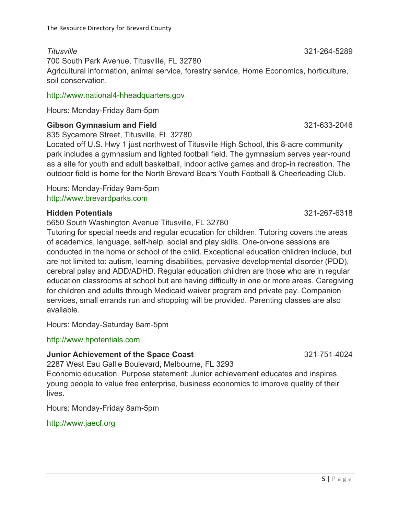700 South Park Avenue, Titusville, FL 32780 Agricultural information, animal service, forestry service, Home Economics, horticulture, soil conservation.

#### http://www.national4-hheadquarters.gov

Hours: Monday-Friday 8am-5pm

#### **Gibson Gymnasium and Field** 321-633-2046

835 Sycamore Street, Titusville, FL 32780

Located off U.S. Hwy 1 just northwest of Titusville High School, this 8-acre community park includes a gymnasium and lighted football field. The gymnasium serves year-round as a site for youth and adult basketball, indoor active games and drop-in recreation. The outdoor field is home for the North Brevard Bears Youth Football & Cheerleading Club.

Hours: Monday-Friday 9am-5pm http://www.brevardparks.com

#### **Hidden Potentials** 321-267-6318

5650 South Washington Avenue Titusville, FL 32780

Tutoring for special needs and regular education for children. Tutoring covers the areas of academics, language, self-help, social and play skills. One-on-one sessions are conducted in the home or school of the child. Exceptional education children include, but are not limited to: autism, learning disabilities, pervasive developmental disorder (PDD), cerebral palsy and ADD/ADHD. Regular education children are those who are in regular education classrooms at school but are having difficulty in one or more areas. Caregiving for children and adults through Medicaid waiver program and private pay. Companion services, small errands run and shopping will be provided. Parenting classes are also available.

Hours: Monday-Saturday 8am-5pm

#### http://www.hpotentials.com

#### **Junior Achievement of the Space Coast** 321-751-4024

2287 West Eau Gallie Boulevard, Melbourne, FL 3293

Economic education. Purpose statement: Junior achievement educates and inspires young people to value free enterprise, business economics to improve quality of their lives.

Hours: Monday-Friday 8am-5pm

#### http://www.jaecf.org

*Titusville* 321-264-5289

 $5$ | Page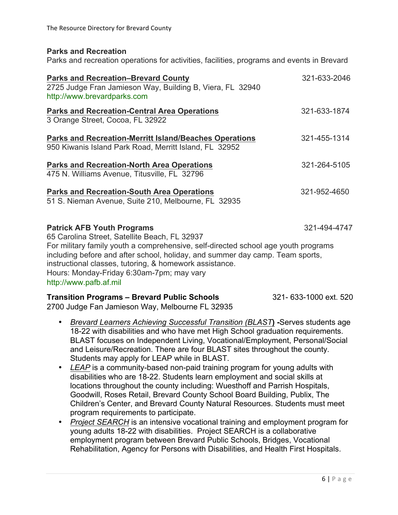#### **Parks and Recreation**

Parks and recreation operations for activities, facilities, programs and events in Brevard

| <b>Parks and Recreation-Brevard County</b><br>2725 Judge Fran Jamieson Way, Building B, Viera, FL 32940<br>http://www.brevardparks.com                                                                             | 321-633-2046 |
|--------------------------------------------------------------------------------------------------------------------------------------------------------------------------------------------------------------------|--------------|
| <b>Parks and Recreation-Central Area Operations</b><br>3 Orange Street, Cocoa, FL 32922                                                                                                                            | 321-633-1874 |
| <b>Parks and Recreation-Merritt Island/Beaches Operations</b><br>950 Kiwanis Island Park Road, Merritt Island, FL 32952                                                                                            | 321-455-1314 |
| <b>Parks and Recreation-North Area Operations</b><br>475 N. Williams Avenue, Titusville, FL 32796                                                                                                                  | 321-264-5105 |
| <b>Parks and Recreation-South Area Operations</b><br>51 S. Nieman Avenue, Suite 210, Melbourne, FL 32935                                                                                                           | 321-952-4650 |
| <b>Patrick AFB Youth Programs</b><br>65 Carolina Street, Satellite Beach, FL 32937<br>For military family youth a comprehensive, self-directed school age youth programs                                           | 321-494-4747 |
| including before and after school, holiday, and summer day camp. Team sports,<br>instructional classes, tutoring, & homework assistance.<br>Hours: Monday-Friday 6:30am-7pm; may vary<br>الممركم والمستحدث والمللط |              |

http://www.pafb.af.mil

#### **Transition Programs – Brevard Public Schools** 321- 633-1000 ext. 520

2700 Judge Fan Jamieson Way, Melbourne FL 32935

- *Brevard Learners Achieving Successful Transition (BLAST***) -**Serves students age 18-22 with disabilities and who have met High School graduation requirements. BLAST focuses on Independent Living, Vocational/Employment, Personal/Social and Leisure/Recreation. There are four BLAST sites throughout the county. Students may apply for LEAP while in BLAST.
- *LEAP* is a community-based non-paid training program for young adults with disabilities who are 18-22. Students learn employment and social skills at locations throughout the county including: Wuesthoff and Parrish Hospitals, Goodwill, Roses Retail, Brevard County School Board Building, Publix, The Children's Center, and Brevard County Natural Resources. Students must meet program requirements to participate.
- *Project SEARCH* is an intensive vocational training and employment program for young adults 18-22 with disabilities. Project SEARCH is a collaborative employment program between Brevard Public Schools, Bridges, Vocational Rehabilitation, Agency for Persons with Disabilities, and Health First Hospitals.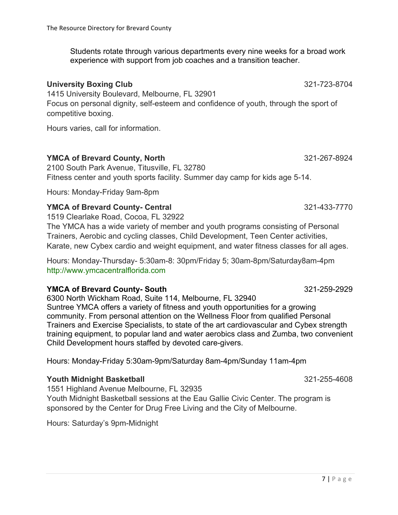Students rotate through various departments every nine weeks for a broad work experience with support from job coaches and a transition teacher.

### **University Boxing Club** 321-723-8704

1415 University Boulevard, Melbourne, FL 32901 Focus on personal dignity, self-esteem and confidence of youth, through the sport of competitive boxing.

Hours varies, call for information.

### **YMCA of Brevard County, North 1998 1998 1998 1999 10:321-267-8924**

2100 South Park Avenue, Titusville, FL 32780 Fitness center and youth sports facility. Summer day camp for kids age 5-14.

Hours: Monday-Friday 9am-8pm

### **YMCA of Brevard County- Central 321-433-7770**

1519 Clearlake Road, Cocoa, FL 32922

The YMCA has a wide variety of member and youth programs consisting of Personal Trainers, Aerobic and cycling classes, Child Development, Teen Center activities, Karate, new Cybex cardio and weight equipment, and water fitness classes for all ages.

Hours: Monday-Thursday- 5:30am-8: 30pm/Friday 5; 30am-8pm/Saturday8am-4pm http://www.ymcacentralflorida.com

### **YMCA of Brevard County- South** 321-259-2929

6300 North Wickham Road, Suite 114, Melbourne, FL 32940 Suntree YMCA offers a variety of fitness and youth opportunities for a growing community. From personal attention on the Wellness Floor from qualified Personal Trainers and Exercise Specialists, to state of the art cardiovascular and Cybex strength training equipment, to popular land and water aerobics class and Zumba, two convenient Child Development hours staffed by devoted care-givers.

Hours: Monday-Friday 5:30am-9pm/Saturday 8am-4pm/Sunday 11am-4pm

### **Youth Midnight Basketball** 321-255-4608

1551 Highland Avenue Melbourne, FL 32935

Youth Midnight Basketball sessions at the Eau Gallie Civic Center. The program is sponsored by the Center for Drug Free Living and the City of Melbourne.

Hours: Saturday's 9pm-Midnight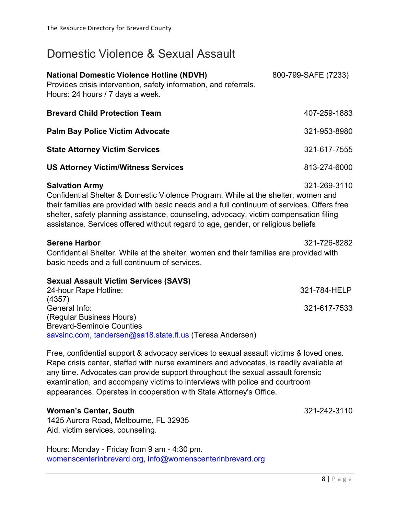# Domestic Violence & Sexual Assault

| <b>National Domestic Violence Hotline (NDVH)</b><br>Provides crisis intervention, safety information, and referrals.<br>Hours: 24 hours / 7 days a week.                                                                                                                                                                                                                                              | 800-799-SAFE (7233) |
|-------------------------------------------------------------------------------------------------------------------------------------------------------------------------------------------------------------------------------------------------------------------------------------------------------------------------------------------------------------------------------------------------------|---------------------|
| <b>Brevard Child Protection Team</b>                                                                                                                                                                                                                                                                                                                                                                  | 407-259-1883        |
| <b>Palm Bay Police Victim Advocate</b>                                                                                                                                                                                                                                                                                                                                                                | 321-953-8980        |
| <b>State Attorney Victim Services</b>                                                                                                                                                                                                                                                                                                                                                                 | 321-617-7555        |
| <b>US Attorney Victim/Witness Services</b>                                                                                                                                                                                                                                                                                                                                                            | 813-274-6000        |
| 321-269-3110<br><b>Salvation Army</b><br>Confidential Shelter & Domestic Violence Program. While at the shelter, women and<br>their families are provided with basic needs and a full continuum of services. Offers free<br>shelter, safety planning assistance, counseling, advocacy, victim compensation filing<br>assistance. Services offered without regard to age, gender, or religious beliefs |                     |

#### **Serene Harbor** 321-726-8282

Confidential Shelter. While at the shelter, women and their families are provided with basic needs and a full continuum of services.

| <b>Sexual Assault Victim Services (SAVS)</b>              |              |
|-----------------------------------------------------------|--------------|
| 24-hour Rape Hotline:                                     | 321-784-HELP |
| (4357)                                                    |              |
| General Info:                                             | 321-617-7533 |
| (Regular Business Hours)                                  |              |
| <b>Brevard-Seminole Counties</b>                          |              |
| savsinc.com, tandersen@sa18.state.fl.us (Teresa Andersen) |              |

Free, confidential support & advocacy services to sexual assault victims & loved ones. Rape crisis center, staffed with nurse examiners and advocates, is readily available at any time. Advocates can provide support throughout the sexual assault forensic examination, and accompany victims to interviews with police and courtroom appearances. Operates in cooperation with State Attorney's Office.

#### **Women's Center, South** 321-242-3110

1425 Aurora Road, Melbourne, FL 32935 Aid, victim services, counseling.

Hours: Monday - Friday from 9 am - 4:30 pm. womenscenterinbrevard.org, info@womenscenterinbrevard.org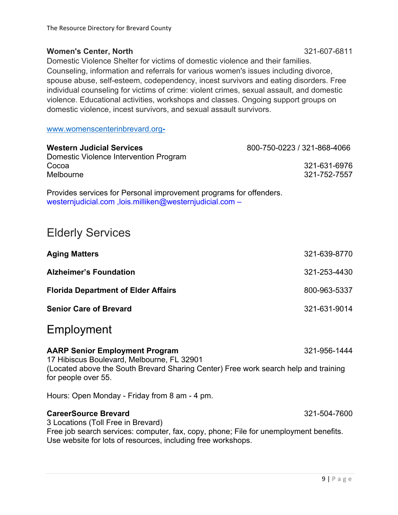#### **Women's Center, North** 321-607-6811

Domestic Violence Shelter for victims of domestic violence and their families. Counseling, information and referrals for various women's issues including divorce, spouse abuse, self-esteem, codependency, incest survivors and eating disorders. Free individual counseling for victims of crime: violent crimes, sexual assault, and domestic violence. Educational activities, workshops and classes. Ongoing support groups on domestic violence, incest survivors, and sexual assault survivors.

www.womenscenterinbrevard.org**-**

| <b>Western Judicial Services</b>       | 800-750-0223 / 321-868-4066 |
|----------------------------------------|-----------------------------|
| Domestic Violence Intervention Program |                             |
| Cocoa                                  | 321-631-6976                |
| Melbourne                              | 321-752-7557                |
|                                        |                             |

Provides services for Personal improvement programs for offenders. westernjudicial.com ,lois.milliken@westernjudicial.com –

# Elderly Services

| <b>Aging Matters</b>                       | 321-639-8770 |
|--------------------------------------------|--------------|
| <b>Alzheimer's Foundation</b>              | 321-253-4430 |
| <b>Florida Department of Elder Affairs</b> | 800-963-5337 |
| <b>Senior Care of Brevard</b>              | 321-631-9014 |

## Employment

### **AARP Senior Employment Program** 321-956-1444 17 Hibiscus Boulevard, Melbourne, FL 32901 (Located above the South Brevard Sharing Center) Free work search help and training for people over 55.

Hours: Open Monday - Friday from 8 am - 4 pm.

#### **CareerSource Brevard** 321-504-7600

3 Locations (Toll Free in Brevard) Free job search services: computer, fax, copy, phone; File for unemployment benefits. Use website for lots of resources, including free workshops.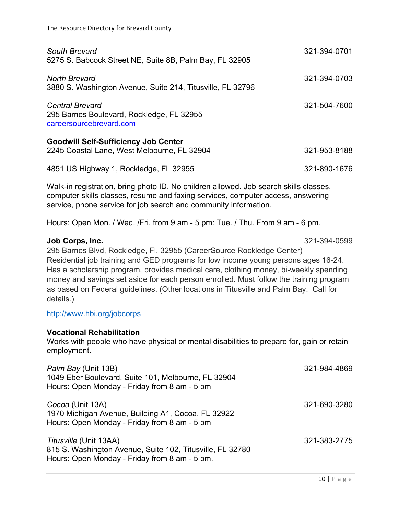| South Brevard<br>5275 S. Babcock Street NE, Suite 8B, Palm Bay, FL 32905                                                                                                                                                                                                                                                                                                                                                                                                               | 321-394-0701 |  |
|----------------------------------------------------------------------------------------------------------------------------------------------------------------------------------------------------------------------------------------------------------------------------------------------------------------------------------------------------------------------------------------------------------------------------------------------------------------------------------------|--------------|--|
| <b>North Brevard</b><br>3880 S. Washington Avenue, Suite 214, Titusville, FL 32796                                                                                                                                                                                                                                                                                                                                                                                                     | 321-394-0703 |  |
| <b>Central Brevard</b><br>295 Barnes Boulevard, Rockledge, FL 32955<br>careersourcebrevard.com                                                                                                                                                                                                                                                                                                                                                                                         | 321-504-7600 |  |
| <b>Goodwill Self-Sufficiency Job Center</b><br>2245 Coastal Lane, West Melbourne, FL 32904                                                                                                                                                                                                                                                                                                                                                                                             | 321-953-8188 |  |
| 4851 US Highway 1, Rockledge, FL 32955                                                                                                                                                                                                                                                                                                                                                                                                                                                 | 321-890-1676 |  |
| Walk-in registration, bring photo ID. No children allowed. Job search skills classes,<br>computer skills classes, resume and faxing services, computer access, answering<br>service, phone service for job search and community information.                                                                                                                                                                                                                                           |              |  |
| Hours: Open Mon. / Wed. /Fri. from 9 am - 5 pm: Tue. / Thu. From 9 am - 6 pm.                                                                                                                                                                                                                                                                                                                                                                                                          |              |  |
| 321-394-0599<br>Job Corps, Inc.<br>295 Barnes Blvd, Rockledge, Fl. 32955 (CareerSource Rockledge Center)<br>Residential job training and GED programs for low income young persons ages 16-24.<br>Has a scholarship program, provides medical care, clothing money, bi-weekly spending<br>money and savings set aside for each person enrolled. Must follow the training program<br>as based on Federal guidelines. (Other locations in Titusville and Palm Bay. Call for<br>details.) |              |  |
| http://www.hbi.org/jobcorps                                                                                                                                                                                                                                                                                                                                                                                                                                                            |              |  |
| <b>Vocational Rehabilitation</b><br>Works with people who have physical or mental disabilities to prepare for, gain or retain<br>employment.                                                                                                                                                                                                                                                                                                                                           |              |  |
| Palm Bay (Unit 13B)<br>1049 Eber Boulevard, Suite 101, Melbourne, FL 32904<br>Hours: Open Monday - Friday from 8 am - 5 pm                                                                                                                                                                                                                                                                                                                                                             | 321-984-4869 |  |
| Cocoa (Unit 13A)<br>1970 Michigan Avenue, Building A1, Cocoa, FL 32922<br>Hours: Open Monday - Friday from 8 am - 5 pm                                                                                                                                                                                                                                                                                                                                                                 | 321-690-3280 |  |
| Titusville (Unit 13AA)<br>815 S. Washington Avenue, Suite 102, Titusville, FL 32780<br>Hours: Open Monday - Friday from 8 am - 5 pm.                                                                                                                                                                                                                                                                                                                                                   | 321-383-2775 |  |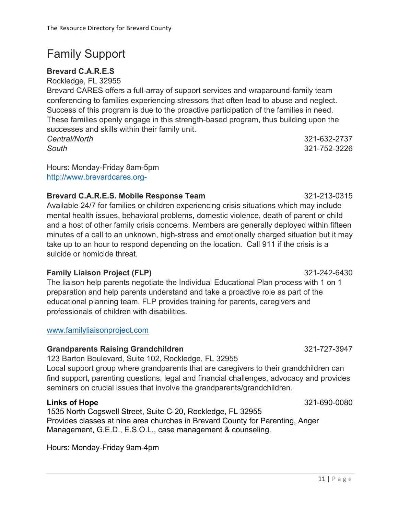# Family Support

#### **Brevard C.A.R.E.S**

Rockledge, FL 32955

Brevard CARES offers a full-array of support services and wraparound-family team conferencing to families experiencing stressors that often lead to abuse and neglect. Success of this program is due to the proactive participation of the families in need. These families openly engage in this strength-based program, thus building upon the successes and skills within their family unit.

*Central/North* 321-632-2737 *South* 321-752-3226

Hours: Monday-Friday 8am-5pm http://www.brevardcares.org-

#### **Brevard C.A.R.E.S. Mobile Response Team** 321-213-0315

Available 24/7 for families or children experiencing crisis situations which may include mental health issues, behavioral problems, domestic violence, death of parent or child and a host of other family crisis concerns. Members are generally deployed within fifteen minutes of a call to an unknown, high-stress and emotionally charged situation but it may take up to an hour to respond depending on the location. Call 911 if the crisis is a suicide or homicide threat.

#### **Family Liaison Project (FLP)** 321-242-6430

The liaison help parents negotiate the Individual Educational Plan process with 1 on 1 preparation and help parents understand and take a proactive role as part of the educational planning team. FLP provides training for parents, caregivers and professionals of children with disabilities.

#### www.familyliaisonproject.com

#### **Grandparents Raising Grandchildren** 321-727-3947

123 Barton Boulevard, Suite 102, Rockledge, FL 32955

Local support group where grandparents that are caregivers to their grandchildren can find support, parenting questions, legal and financial challenges, advocacy and provides seminars on crucial issues that involve the grandparents/grandchildren.

#### **Links of Hope** 321-690-0080

1535 North Cogswell Street, Suite C-20, Rockledge, FL 32955 Provides classes at nine area churches in Brevard County for Parenting, Anger Management, G.E.D., E.S.O.L., case management & counseling.

Hours: Monday-Friday 9am-4pm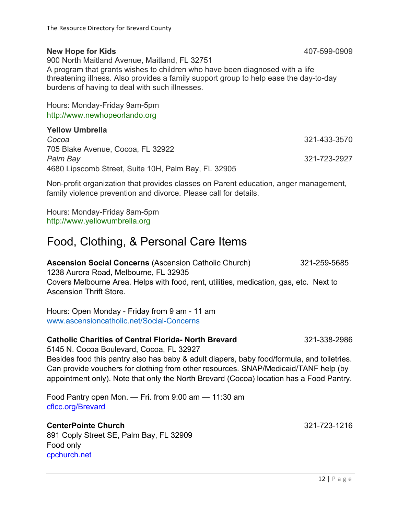#### **New Hope for Kids** 407-599-0909

900 North Maitland Avenue, Maitland, FL 32751 A program that grants wishes to children who have been diagnosed with a life threatening illness. Also provides a family support group to help ease the day-to-day burdens of having to deal with such illnesses.

Hours: Monday-Friday 9am-5pm http://www.newhopeorlando.org

#### **Yellow Umbrella**

| Cocoa                                               | 321-433-3570 |
|-----------------------------------------------------|--------------|
| 705 Blake Avenue, Cocoa, FL 32922                   |              |
| Palm Bay                                            | 321-723-2927 |
| 4680 Lipscomb Street, Suite 10H, Palm Bay, FL 32905 |              |

Non-profit organization that provides classes on Parent education, anger management, family violence prevention and divorce. Please call for details.

Hours: Monday-Friday 8am-5pm http://www.yellowumbrella.org

# Food, Clothing, & Personal Care Items

**Ascension Social Concerns** (Ascension Catholic Church) 321-259-5685 1238 Aurora Road, Melbourne, FL 32935 Covers Melbourne Area. Helps with food, rent, utilities, medication, gas, etc. Next to Ascension Thrift Store.

Hours: Open Monday - Friday from 9 am - 11 am www.ascensioncatholic.net/Social-Concerns

#### **Catholic Charities of Central Florida- North Brevard** 321-338-2986

5145 N. Cocoa Boulevard, Cocoa, FL 32927 Besides food this pantry also has baby & adult diapers, baby food/formula, and toiletries. Can provide vouchers for clothing from other resources. SNAP/Medicaid/TANF help (by appointment only). Note that only the North Brevard (Cocoa) location has a Food Pantry.

Food Pantry open Mon. — Fri. from 9:00 am — 11:30 am cflcc.org/Brevard

#### **CenterPointe Church** 321-723-1216

891 Coply Street SE, Palm Bay, FL 32909 Food only cpchurch.net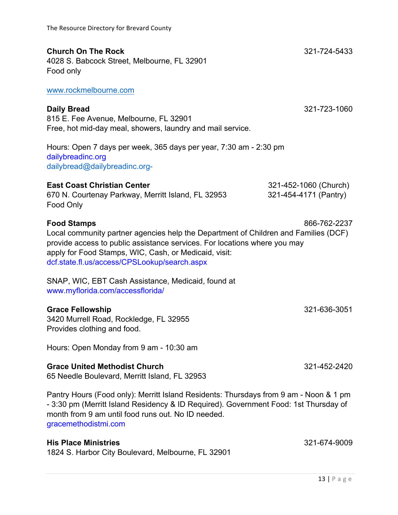#### **Church On The Rock** 321-724-5433

4028 S. Babcock Street, Melbourne, FL 32901 Food only

www.rockmelbourne.com

Food Only

**Daily Bread** 321-723-1060

815 E. Fee Avenue, Melbourne, FL 32901 Free, hot mid-day meal, showers, laundry and mail service.

Hours: Open 7 days per week, 365 days per year, 7:30 am - 2:30 pm dailybreadinc.org dailybread@dailybreadinc.org-

| <b>East Coast Christian Center</b>                 | 321-452-1060 (Church) |
|----------------------------------------------------|-----------------------|
| 670 N. Courtenay Parkway, Merritt Island, FL 32953 | 321-454-4171 (Pantry) |

**Food Stamps** 866-762-2237 Local community partner agencies help the Department of Children and Families (DCF) provide access to public assistance services. For locations where you may apply for Food Stamps, WIC, Cash, or Medicaid, visit: dcf.state.fl.us/access/CPSLookup/search.aspx

SNAP, WIC, EBT Cash Assistance, Medicaid, found at www.myflorida.com/accessflorida/

#### **Grace Fellowship** 321-636-3051

3420 Murrell Road, Rockledge, FL 32955 Provides clothing and food.

Hours: Open Monday from 9 am - 10:30 am

#### **Grace United Methodist Church** 321-452-2420

65 Needle Boulevard, Merritt Island, FL 32953

Pantry Hours (Food only): Merritt Island Residents: Thursdays from 9 am - Noon & 1 pm - 3:30 pm (Merritt Island Residency & ID Required). Government Food: 1st Thursday of month from 9 am until food runs out. No ID needed. gracemethodistmi.com

#### **His Place Ministries** 321-674-9009

1824 S. Harbor City Boulevard, Melbourne, FL 32901

 $13$  | Page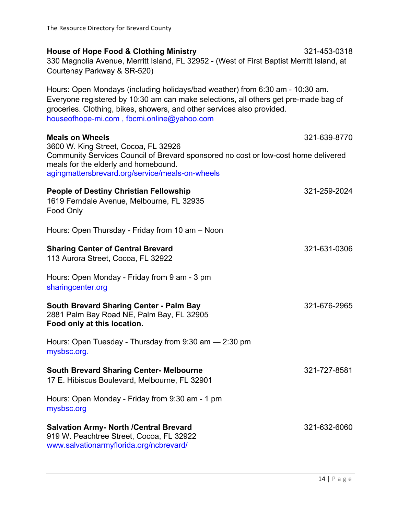| <b>House of Hope Food &amp; Clothing Ministry</b><br>330 Magnolia Avenue, Merritt Island, FL 32952 - (West of First Baptist Merritt Island, at<br>Courtenay Parkway & SR-520)                                                                                                                | 321-453-0318 |
|----------------------------------------------------------------------------------------------------------------------------------------------------------------------------------------------------------------------------------------------------------------------------------------------|--------------|
| Hours: Open Mondays (including holidays/bad weather) from 6:30 am - 10:30 am.<br>Everyone registered by 10:30 am can make selections, all others get pre-made bag of<br>groceries. Clothing, bikes, showers, and other services also provided.<br>houseofhope-mi.com, fbcmi.online@yahoo.com |              |
| <b>Meals on Wheels</b><br>3600 W. King Street, Cocoa, FL 32926                                                                                                                                                                                                                               | 321-639-8770 |
| Community Services Council of Brevard sponsored no cost or low-cost home delivered<br>meals for the elderly and homebound.<br>agingmattersbrevard.org/service/meals-on-wheels                                                                                                                |              |
| <b>People of Destiny Christian Fellowship</b><br>1619 Ferndale Avenue, Melbourne, FL 32935<br>Food Only                                                                                                                                                                                      | 321-259-2024 |
| Hours: Open Thursday - Friday from 10 am - Noon                                                                                                                                                                                                                                              |              |
| <b>Sharing Center of Central Brevard</b><br>113 Aurora Street, Cocoa, FL 32922                                                                                                                                                                                                               | 321-631-0306 |
| Hours: Open Monday - Friday from 9 am - 3 pm<br>sharingcenter.org                                                                                                                                                                                                                            |              |
| <b>South Brevard Sharing Center - Palm Bay</b><br>2881 Palm Bay Road NE, Palm Bay, FL 32905<br>Food only at this location.                                                                                                                                                                   | 321-676-2965 |
| Hours: Open Tuesday - Thursday from 9:30 am - 2:30 pm<br>mysbsc.org.                                                                                                                                                                                                                         |              |
| <b>South Brevard Sharing Center- Melbourne</b><br>17 E. Hibiscus Boulevard, Melbourne, FL 32901                                                                                                                                                                                              | 321-727-8581 |
| Hours: Open Monday - Friday from 9:30 am - 1 pm<br>mysbsc.org                                                                                                                                                                                                                                |              |
| <b>Salvation Army- North / Central Brevard</b><br>919 W. Peachtree Street, Cocoa, FL 32922<br>www.salvationarmyflorida.org/ncbrevard/                                                                                                                                                        | 321-632-6060 |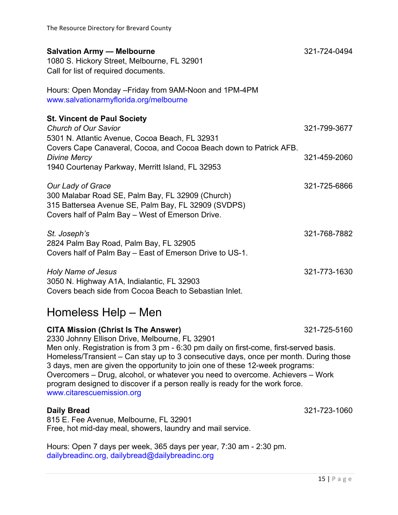| <b>Salvation Army - Melbourne</b><br>1080 S. Hickory Street, Melbourne, FL 32901<br>Call for list of required documents.                                                                                                                                                                                                                                                                                                                                                                                                                                      | 321-724-0494 |
|---------------------------------------------------------------------------------------------------------------------------------------------------------------------------------------------------------------------------------------------------------------------------------------------------------------------------------------------------------------------------------------------------------------------------------------------------------------------------------------------------------------------------------------------------------------|--------------|
| Hours: Open Monday - Friday from 9AM-Noon and 1PM-4PM<br>www.salvationarmyflorida.org/melbourne                                                                                                                                                                                                                                                                                                                                                                                                                                                               |              |
| <b>St. Vincent de Paul Society</b><br><b>Church of Our Savior</b><br>5301 N. Atlantic Avenue, Cocoa Beach, FL 32931                                                                                                                                                                                                                                                                                                                                                                                                                                           | 321-799-3677 |
| Covers Cape Canaveral, Cocoa, and Cocoa Beach down to Patrick AFB.<br><b>Divine Mercy</b><br>1940 Courtenay Parkway, Merritt Island, FL 32953                                                                                                                                                                                                                                                                                                                                                                                                                 | 321-459-2060 |
| <b>Our Lady of Grace</b><br>300 Malabar Road SE, Palm Bay, FL 32909 (Church)<br>315 Battersea Avenue SE, Palm Bay, FL 32909 (SVDPS)<br>Covers half of Palm Bay - West of Emerson Drive.                                                                                                                                                                                                                                                                                                                                                                       | 321-725-6866 |
| St. Joseph's<br>2824 Palm Bay Road, Palm Bay, FL 32905<br>Covers half of Palm Bay - East of Emerson Drive to US-1.                                                                                                                                                                                                                                                                                                                                                                                                                                            | 321-768-7882 |
| <b>Holy Name of Jesus</b><br>3050 N. Highway A1A, Indialantic, FL 32903<br>Covers beach side from Cocoa Beach to Sebastian Inlet.                                                                                                                                                                                                                                                                                                                                                                                                                             | 321-773-1630 |
| Homeless Help – Men                                                                                                                                                                                                                                                                                                                                                                                                                                                                                                                                           |              |
| <b>CITA Mission (Christ Is The Answer)</b><br>2330 Johnny Ellison Drive, Melbourne, FL 32901<br>Men only. Registration is from 3 pm - 6:30 pm daily on first-come, first-served basis.<br>Homeless/Transient – Can stay up to 3 consecutive days, once per month. During those<br>3 days, men are given the opportunity to join one of these 12-week programs:<br>Overcomers – Drug, alcohol, or whatever you need to overcome. Achievers – Work<br>program designed to discover if a person really is ready for the work force.<br>www.citarescuemission.org | 321-725-5160 |
| <b>Daily Bread</b><br>815 E. Fee Avenue, Melbourne, FL 32901<br>Free, hot mid-day meal, showers, laundry and mail service.                                                                                                                                                                                                                                                                                                                                                                                                                                    | 321-723-1060 |
| Hours: Open 7 days per week, 365 days per year, 7:30 am - 2:30 pm.                                                                                                                                                                                                                                                                                                                                                                                                                                                                                            |              |

dailybreadinc.org, dailybread@dailybreadinc.org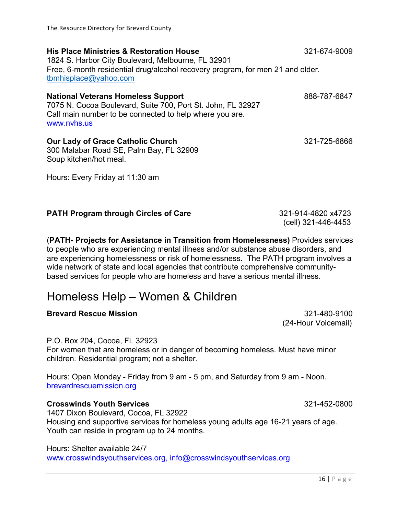**His Place Ministries & Restoration House** 321-674-9009 1824 S. Harbor City Boulevard, Melbourne, FL 32901 Free, 6-month residential drug/alcohol recovery program, for men 21 and older. tbmhisplace@yahoo.com **National Veterans Homeless Support** 888-787-6847 7075 N. Cocoa Boulevard, Suite 700, Port St. John, FL 32927 Call main number to be connected to help where you are. www.nvhs.us **Our Lady of Grace Catholic Church** 321-725-6866 300 Malabar Road SE, Palm Bay, FL 32909 Soup kitchen/hot meal.

Hours: Every Friday at 11:30 am

| <b>PATH Program through Circles of Care</b> |  |
|---------------------------------------------|--|
|---------------------------------------------|--|

**PATH Program through Circles of Care** 321-914-4820 x4723 (cell) 321-446-4453

(**PATH- Projects for Assistance in Transition from Homelessness)** Provides services to people who are experiencing mental illness and/or substance abuse disorders, and are experiencing homelessness or risk of homelessness. The PATH program involves a wide network of state and local agencies that contribute comprehensive communitybased services for people who are homeless and have a serious mental illness.

# Homeless Help – Women & Children

#### **Brevard Rescue Mission** 321-480-9100

P.O. Box 204, Cocoa, FL 32923 For women that are homeless or in danger of becoming homeless. Must have minor children. Residential program; not a shelter.

Hours: Open Monday - Friday from 9 am - 5 pm, and Saturday from 9 am - Noon. brevardrescuemission.org

#### **Crosswinds Youth Services** 321-452-0800

1407 Dixon Boulevard, Cocoa, FL 32922 Housing and supportive services for homeless young adults age 16-21 years of age. Youth can reside in program up to 24 months.

#### Hours: Shelter available 24/7

www.crosswindsyouthservices.org, info@crosswindsyouthservices.org

(24-Hour Voicemail)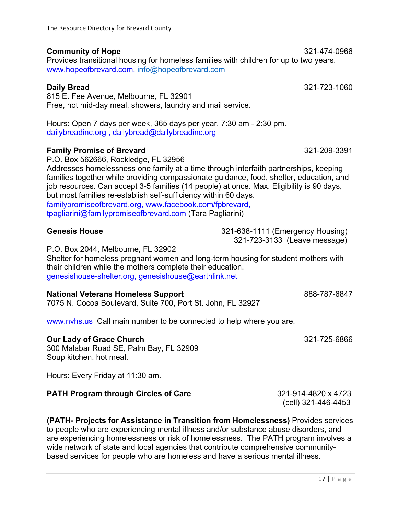#### **Community of Hope** 321-474-0966

Provides transitional housing for homeless families with children for up to two years. www.hopeofbrevard.com, info@hopeofbrevard.com

815 E. Fee Avenue, Melbourne, FL 32901 Free, hot mid-day meal, showers, laundry and mail service.

Hours: Open 7 days per week, 365 days per year, 7:30 am - 2:30 pm. dailybreadinc.org , dailybread@dailybreadinc.org

#### **Family Promise of Brevard** 321-209-3391

P.O. Box 562666, Rockledge, FL 32956

Addresses homelessness one family at a time through interfaith partnerships, keeping families together while providing compassionate guidance, food, shelter, education, and job resources. Can accept 3-5 families (14 people) at once. Max. Eligibility is 90 days, but most families re-establish self-sufficiency within 60 days. familypromiseofbrevard.org, www.facebook.com/fpbrevard, tpagliarini@familypromiseofbrevard.com (Tara Pagliarini)

**Genesis House** 321-638-1111 (Emergency Housing) 321-723-3133 (Leave message)

P.O. Box 2044, Melbourne, FL 32902

Shelter for homeless pregnant women and long-term housing for student mothers with their children while the mothers complete their education. genesishouse-shelter.org, genesishouse@earthlink.net

#### **National Veterans Homeless Support 1988-787-6847 Mational Veterans Homeless Support**

7075 N. Cocoa Boulevard, Suite 700, Port St. John, FL 32927

www.nvhs.us Call main number to be connected to help where you are.

#### **Our Lady of Grace Church** 321-725-6866

300 Malabar Road SE, Palm Bay, FL 32909 Soup kitchen, hot meal.

Hours: Every Friday at 11:30 am.

#### **PATH Program through Circles of Care** 321-914-4820 x 4723

(cell) 321-446-4453

**(PATH- Projects for Assistance in Transition from Homelessness)** Provides services to people who are experiencing mental illness and/or substance abuse disorders, and are experiencing homelessness or risk of homelessness. The PATH program involves a wide network of state and local agencies that contribute comprehensive communitybased services for people who are homeless and have a serious mental illness.

**Daily Bread** 321-723-1060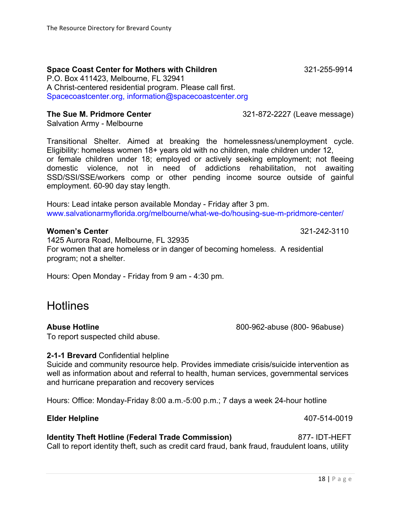#### **Space Coast Center for Mothers with Children** 321-255-9914

P.O. Box 411423, Melbourne, FL 32941 A Christ-centered residential program. Please call first. Spacecoastcenter.org, information@spacecoastcenter.org

**The Sue M. Pridmore Center** 2014 2014 321-872-2227 (Leave message)

Salvation Army - Melbourne

Transitional Shelter. Aimed at breaking the homelessness/unemployment cycle. Eligibility: homeless women 18+ years old with no children, male children under 12, or female children under 18; employed or actively seeking employment; not fleeing domestic violence, not in need of addictions rehabilitation, not awaiting SSD/SSI/SSE/workers comp or other pending income source outside of gainful employment. 60-90 day stay length.

Hours: Lead intake person available Monday - Friday after 3 pm. www.salvationarmyflorida.org/melbourne/what-we-do/housing-sue-m-pridmore-center/

#### **Women's Center** 321-242-3110

1425 Aurora Road, Melbourne, FL 32935 For women that are homeless or in danger of becoming homeless. A residential program; not a shelter.

Hours: Open Monday - Friday from 9 am - 4:30 pm.

# **Hotlines**

**Abuse Hotline** 200-962-abuse (800-962-abuse (800-964)

To report suspected child abuse.

#### **2-1-1 Brevard** Confidential helpline

Suicide and community resource help. Provides immediate crisis/suicide intervention as well as information about and referral to health, human services, governmental services and hurricane preparation and recovery services

Hours: Office: Monday-Friday 8:00 a.m.-5:00 p.m.; 7 days a week 24-hour hotline

#### **Elder Helpline** 407-514-0019

**Identity Theft Hotline (Federal Trade Commission)** 877- IDT-HEFT Call to report identity theft, such as credit card fraud, bank fraud, fraudulent loans, utility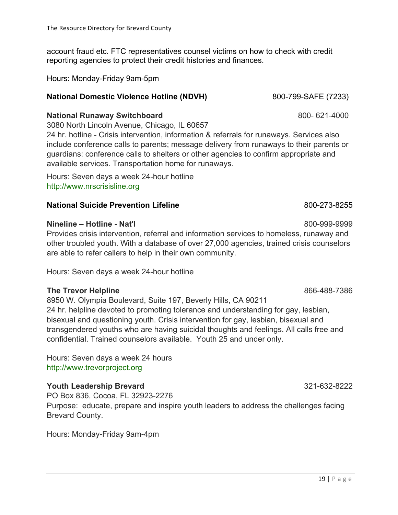account fraud etc. FTC representatives counsel victims on how to check with credit reporting agencies to protect their credit histories and finances.

Hours: Monday-Friday 9am-5pm

#### **National Domestic Violence Hotline (NDVH)** 800-799-SAFE (7233)

#### **National Runaway Switchboard**  800-621-4000

3080 North Lincoln Avenue, Chicago, IL 60657

24 hr. hotline - Crisis intervention, information & referrals for runaways. Services also include conference calls to parents; message delivery from runaways to their parents or guardians: conference calls to shelters or other agencies to confirm appropriate and available services. Transportation home for runaways.

Hours: Seven days a week 24-hour hotline http://www.nrscrisisline.org

#### **National Suicide Prevention Lifeline** 800-273-8255

#### **Nineline – Hotline - Nat'l** 800-999-9999

Provides crisis intervention, referral and information services to homeless, runaway and other troubled youth. With a database of over 27,000 agencies, trained crisis counselors are able to refer callers to help in their own community.

Hours: Seven days a week 24-hour hotline

#### **The Trevor Helpline** 866-488-7386

8950 W. Olympia Boulevard, Suite 197, Beverly Hills, CA 90211 24 hr. helpline devoted to promoting tolerance and understanding for gay, lesbian, bisexual and questioning youth. Crisis intervention for gay, lesbian, bisexual and transgendered youths who are having suicidal thoughts and feelings. All calls free and confidential. Trained counselors available. Youth 25 and under only.

Hours: Seven days a week 24 hours http://www.trevorproject.org

#### **Youth Leadership Brevard** 321-632-8222

PO Box 836, Cocoa, FL 32923-2276

Purpose: educate, prepare and inspire youth leaders to address the challenges facing Brevard County.

Hours: Monday-Friday 9am-4pm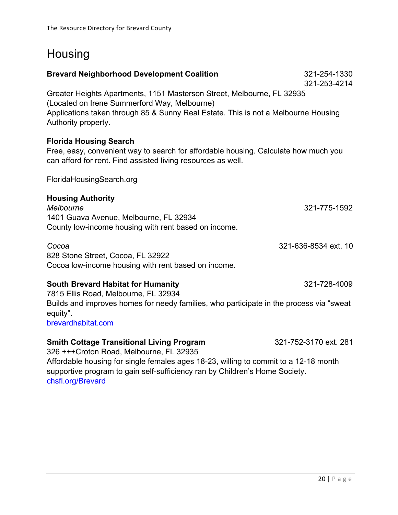# Housing

| <b>Brevard Neighborhood Development Coalition</b>                                                                                                                                                                                                                                       | 321-254-1330<br>321-253-4214 |
|-----------------------------------------------------------------------------------------------------------------------------------------------------------------------------------------------------------------------------------------------------------------------------------------|------------------------------|
| Greater Heights Apartments, 1151 Masterson Street, Melbourne, FL 32935<br>(Located on Irene Summerford Way, Melbourne)<br>Applications taken through 85 & Sunny Real Estate. This is not a Melbourne Housing<br>Authority property.                                                     |                              |
| <b>Florida Housing Search</b><br>Free, easy, convenient way to search for affordable housing. Calculate how much you<br>can afford for rent. Find assisted living resources as well.                                                                                                    |                              |
| FloridaHousingSearch.org                                                                                                                                                                                                                                                                |                              |
| <b>Housing Authority</b><br>Melbourne<br>1401 Guava Avenue, Melbourne, FL 32934<br>County low-income housing with rent based on income.                                                                                                                                                 | 321-775-1592                 |
| Cocoa<br>828 Stone Street, Cocoa, FL 32922<br>Cocoa low-income housing with rent based on income.                                                                                                                                                                                       | 321-636-8534 ext. 10         |
| <b>South Brevard Habitat for Humanity</b><br>7815 Ellis Road, Melbourne, FL 32934<br>Builds and improves homes for needy families, who participate in the process via "sweat<br>equity".<br>brevardhabitat.com                                                                          | 321-728-4009                 |
| <b>Smith Cottage Transitional Living Program</b><br>326 +++Croton Road, Melbourne, FL 32935<br>Affordable housing for single females ages 18-23, willing to commit to a 12-18 month<br>supportive program to gain self-sufficiency ran by Children's Home Society.<br>chsfl.org/Brevard | 321-752-3170 ext. 281        |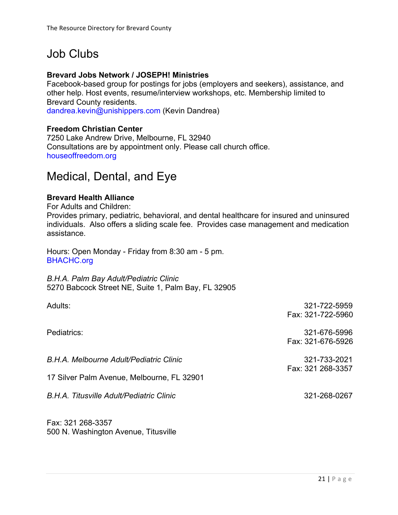# Job Clubs

#### **Brevard Jobs Network / JOSEPH! Ministries**

Facebook-based group for postings for jobs (employers and seekers), assistance, and other help. Host events, resume/interview workshops, etc. Membership limited to Brevard County residents. dandrea.kevin@unishippers.com (Kevin Dandrea)

#### **Freedom Christian Center**

7250 Lake Andrew Drive, Melbourne, FL 32940 Consultations are by appointment only. Please call church office. houseoffreedom.org

# Medical, Dental, and Eye

#### **Brevard Health Alliance**

For Adults and Children: Provides primary, pediatric, behavioral, and dental healthcare for insured and uninsured individuals. Also offers a sliding scale fee. Provides case management and medication assistance.

Hours: Open Monday - Friday from 8:30 am - 5 pm. BHACHC.org

*B.H.A. Palm Bay Adult/Pediatric Clinic* 5270 Babcock Street NE, Suite 1, Palm Bay, FL 32905

| Adults:                                    | 321-722-5959      |
|--------------------------------------------|-------------------|
|                                            | Fax: 321-722-5960 |
| Pediatrics:                                | 321-676-5996      |
|                                            | Fax: 321-676-5926 |
| B.H.A. Melbourne Adult/Pediatric Clinic    | 321-733-2021      |
|                                            | Fax: 321 268-3357 |
| 17 Silver Palm Avenue, Melbourne, FL 32901 |                   |
| B.H.A. Titusville Adult/Pediatric Clinic   | 321-268-0267      |
|                                            |                   |

Fax: 321 268-3357 500 N. Washington Avenue, Titusville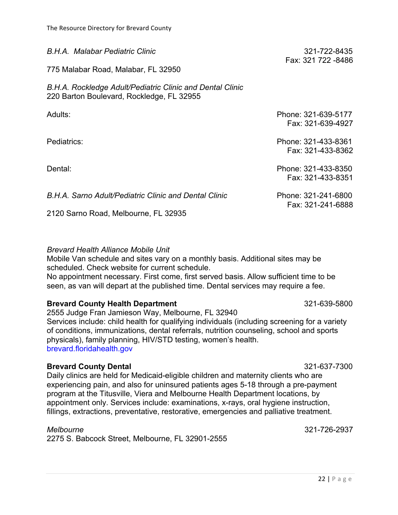| <b>B.H.A. Malabar Pediatric Clinic</b>                                                                 | 321-722-8435<br>Fax: 321 722 -8486       |
|--------------------------------------------------------------------------------------------------------|------------------------------------------|
| 775 Malabar Road, Malabar, FL 32950                                                                    |                                          |
| B.H.A. Rockledge Adult/Pediatric Clinic and Dental Clinic<br>220 Barton Boulevard, Rockledge, FL 32955 |                                          |
| Adults:                                                                                                | Phone: 321-639-5177<br>Fax: 321-639-4927 |
| Pediatrics:                                                                                            | Phone: 321-433-8361<br>Fax: 321-433-8362 |
| Dental:                                                                                                | Phone: 321-433-8350<br>Fax: 321-433-8351 |
| B.H.A. Sarno Adult/Pediatric Clinic and Dental Clinic                                                  | Phone: 321-241-6800<br>Fax: 321-241-6888 |
| 2120 Sarno Road, Melbourne, FL 32935                                                                   |                                          |

*Brevard Health Alliance Mobile Unit*

Mobile Van schedule and sites vary on a monthly basis. Additional sites may be scheduled. Check website for current schedule.

No appointment necessary. First come, first served basis. Allow sufficient time to be seen, as van will depart at the published time. Dental services may require a fee.

#### **Brevard County Health Department** 1988 1999-1990 121-639-5800

2555 Judge Fran Jamieson Way, Melbourne, FL 32940 Services include: child health for qualifying individuals (including screening for a variety of conditions, immunizations, dental referrals, nutrition counseling, school and sports physicals), family planning, HIV/STD testing, women's health. brevard.floridahealth.gov

#### **Brevard County Dental** 321-637-7300

Daily clinics are held for Medicaid-eligible children and maternity clients who are experiencing pain, and also for uninsured patients ages 5-18 through a pre-payment program at the Titusville, Viera and Melbourne Health Department locations, by appointment only. Services include: examinations, x-rays, oral hygiene instruction, fillings, extractions, preventative, restorative, emergencies and palliative treatment.

#### *Melbourne* 321-726-2937

2275 S. Babcock Street, Melbourne, FL 32901-2555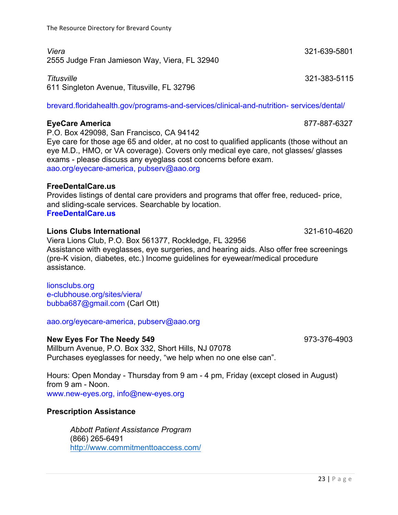*Viera* 321-639-5801 2555 Judge Fran Jamieson Way, Viera, FL 32940

*Titusville* 321-383-5115 611 Singleton Avenue, Titusville, FL 32796

brevard.floridahealth.gov/programs-and-services/clinical-and-nutrition- services/dental/

#### **EyeCare America** 877-887-6327

P.O. Box 429098, San Francisco, CA 94142 Eye care for those age 65 and older, at no cost to qualified applicants (those without an eye M.D., HMO, or VA coverage). Covers only medical eye care, not glasses/ glasses exams - please discuss any eyeglass cost concerns before exam. aao.org/eyecare-america, pubserv@aao.org

#### **FreeDentalCare.us**

Provides listings of dental care providers and programs that offer free, reduced- price, and sliding-scale services. Searchable by location. **FreeDentalCare.us**

#### **Lions Clubs International** 321-610-4620

Viera Lions Club, P.O. Box 561377, Rockledge, FL 32956 Assistance with eyeglasses, eye surgeries, and hearing aids. Also offer free screenings (pre-K vision, diabetes, etc.) Income guidelines for eyewear/medical procedure assistance.

lionsclubs.org e-clubhouse.org/sites/viera/ bubba687@gmail.com (Carl Ott)

aao.org/eyecare-america, pubserv@aao.org

#### **New Eyes For The Needy 549** 973-376-4903

Millburn Avenue, P.O. Box 332, Short Hills, NJ 07078 Purchases eyeglasses for needy, "we help when no one else can".

Hours: Open Monday - Thursday from 9 am - 4 pm, Friday (except closed in August) from 9 am - Noon. www.new-eyes.org, info@new-eyes.org

#### **Prescription Assistance**

*Abbott Patient Assistance Program* (866) 265-6491 http://www.commitmenttoaccess.com/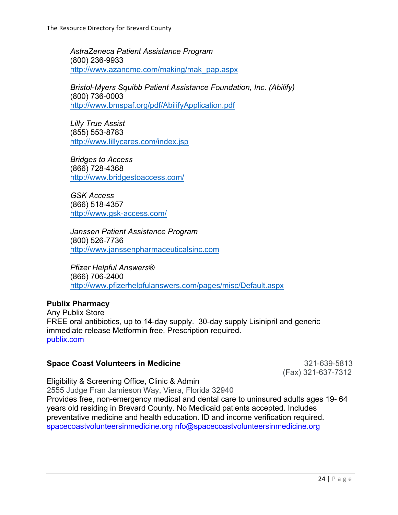*AstraZeneca Patient Assistance Program* (800) 236-9933 http://www.azandme.com/making/mak\_pap.aspx

*Bristol-Myers Squibb Patient Assistance Foundation, Inc. (Abilify)* (800) 736-0003 http://www.bmspaf.org/pdf/AbilifyApplication.pdf

*Lilly True Assist* (855) 553-8783 http://www.lillycares.com/index.jsp

*Bridges to Access* (866) 728-4368 http://www.bridgestoaccess.com/

*GSK Access* (866) 518-4357 http://www.gsk-access.com/

*Janssen Patient Assistance Program* (800) 526-7736 http://www.janssenpharmaceuticalsinc.com

*Pfizer Helpful Answers®* (866) 706-2400 http://www.pfizerhelpfulanswers.com/pages/misc/Default.aspx

#### **Publix Pharmacy**

Any Publix Store FREE oral antibiotics, up to 14-day supply. 30-day supply Lisinipril and generic immediate release Metformin free. Prescription required. publix.com

#### **Space Coast Volunteers in Medicine 1200 millions** 321-639-5813

(Fax) 321-637-7312

Eligibility & Screening Office, Clinic & Admin

2555 Judge Fran Jamieson Way, Viera, Florida 32940

Provides free, non-emergency medical and dental care to uninsured adults ages 19- 64 years old residing in Brevard County. No Medicaid patients accepted. Includes preventative medicine and health education. ID and income verification required. spacecoastvolunteersinmedicine.org nfo@spacecoastvolunteersinmedicine.org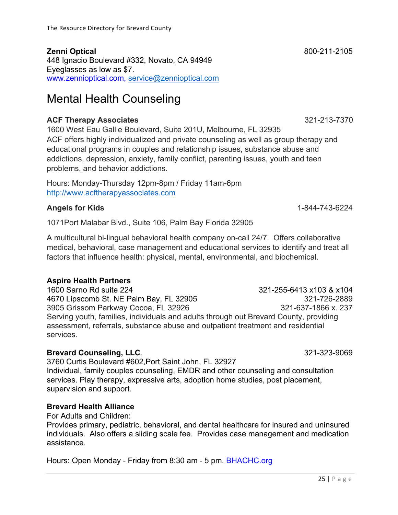### **Zenni Optical** 800-211-2105

448 Ignacio Boulevard #332, Novato, CA 94949 Eyeglasses as low as \$7. www.zennioptical.com, service@zennioptical.com

# Mental Health Counseling

#### **ACF Therapy Associates** 321-213-7370

1600 West Eau Gallie Boulevard, Suite 201U, Melbourne, FL 32935 ACF offers highly individualized and private counseling as well as group therapy and educational programs in couples and relationship issues, substance abuse and addictions, depression, anxiety, family conflict, parenting issues, youth and teen problems, and behavior addictions.

Hours: Monday-Thursday 12pm-8pm / Friday 11am-6pm http://www.acftherapyassociates.com

#### **Angels for Kids** 1-844-743-6224

1071Port Malabar Blvd., Suite 106, Palm Bay Florida 32905

A multicultural bi-lingual behavioral health company on-call 24/7. Offers collaborative medical, behavioral, case management and educational services to identify and treat all factors that influence health: physical, mental, environmental, and biochemical.

#### **Aspire Health Partners**

1600 Sarno Rd suite 224 321-255-6413 x103 & x104 4670 Lipscomb St. NE Palm Bay, FL 32905 321-726-2889 3905 Grissom Parkway Cocoa, FL 32926 321-637-1866 x. 237 Serving youth, families, individuals and adults through out Brevard County, providing assessment, referrals, substance abuse and outpatient treatment and residential services.

#### **Brevard Counseling, LLC**. 321-323-9069

3760 Curtis Boulevard #602,Port Saint John, FL 32927 Individual, family couples counseling, EMDR and other counseling and consultation services. Play therapy, expressive arts, adoption home studies, post placement, supervision and support.

#### **Brevard Health Alliance**

For Adults and Children:

Provides primary, pediatric, behavioral, and dental healthcare for insured and uninsured individuals. Also offers a sliding scale fee. Provides case management and medication assistance.

Hours: Open Monday - Friday from 8:30 am - 5 pm. BHACHC.org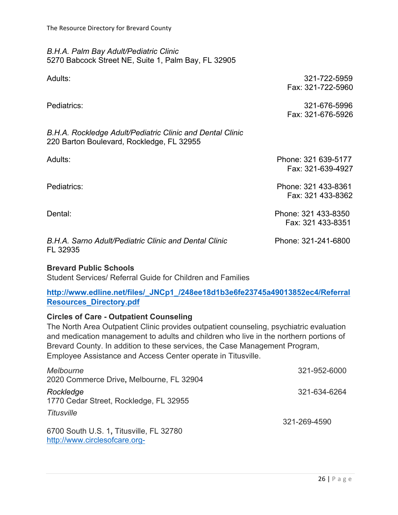#### *B.H.A. Palm Bay Adult/Pediatric Clinic* 5270 Babcock Street NE, Suite 1, Palm Bay, FL 32905

| Adults:                                                                                                | 321-722-5959<br>Fax: 321-722-5960        |
|--------------------------------------------------------------------------------------------------------|------------------------------------------|
| Pediatrics:                                                                                            | 321-676-5996<br>Fax: 321-676-5926        |
| B.H.A. Rockledge Adult/Pediatric Clinic and Dental Clinic<br>220 Barton Boulevard, Rockledge, FL 32955 |                                          |
| Adults:                                                                                                | Phone: 321 639-5177<br>Fax: 321-639-4927 |
| Pediatrics:                                                                                            | Phone: 321 433-8361<br>Fax: 321 433-8362 |
| Dental:                                                                                                | Phone: 321 433-8350<br>Fax: 321 433-8351 |
| B.H.A. Sarno Adult/Pediatric Clinic and Dental Clinic<br>FL 32935                                      | Phone: 321-241-6800                      |

#### **Brevard Public Schools**

Student Services/ Referral Guide for Children and Families

#### **http://www.edline.net/files/\_JNCp1\_/248ee18d1b3e6fe23745a49013852ec4/Referral Resources\_Directory.pdf**

#### **Circles of Care - Outpatient Counseling**

The North Area Outpatient Clinic provides outpatient counseling, psychiatric evaluation and medication management to adults and children who live in the northern portions of Brevard County. In addition to these services, the Case Management Program, Employee Assistance and Access Center operate in Titusville.

| Melbourne<br>2020 Commerce Drive, Melbourne, FL 32904                    | 321-952-6000 |
|--------------------------------------------------------------------------|--------------|
| Rockledge<br>1770 Cedar Street, Rockledge, FL 32955                      | 321-634-6264 |
| Titusville                                                               | 321-269-4590 |
| 6700 South U.S. 1, Titusville, FL 32780<br>http://www.circlesofcare.org- |              |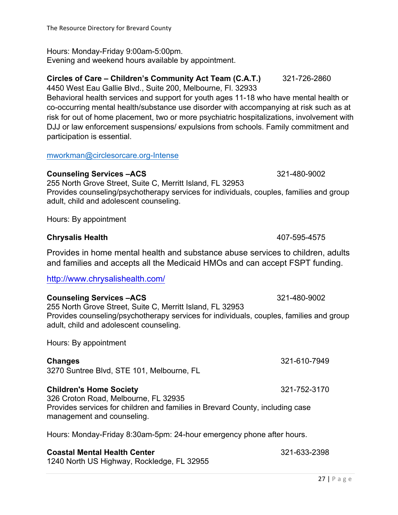Hours: Monday-Friday 9:00am-5:00pm. Evening and weekend hours available by appointment.

#### **Circles of Care – Children's Community Act Team (C.A.T.)** 321-726-2860

4450 West Eau Gallie Blvd., Suite 200, Melbourne, Fl. 32933

Behavioral health services and support for youth ages 11-18 who have mental health or co-occurring mental health/substance use disorder with accompanying at risk such as at risk for out of home placement, two or more psychiatric hospitalizations, involvement with DJJ or law enforcement suspensions/ expulsions from schools. Family commitment and participation is essential.

mworkman@circlesorcare.org-Intense

#### **Counseling Services –ACS** 321-480-9002

255 North Grove Street, Suite C, Merritt Island, FL 32953 Provides counseling/psychotherapy services for individuals, couples, families and group adult, child and adolescent counseling.

Hours: By appointment

#### **Chrysalis Health** 407-595-4575

Provides in home mental health and substance abuse services to children, adults and families and accepts all the Medicaid HMOs and can accept FSPT funding.

http://www.chrysalishealth.com/

#### **Counseling Services –ACS** 321-480-9002

255 North Grove Street, Suite C, Merritt Island, FL 32953 Provides counseling/psychotherapy services for individuals, couples, families and group adult, child and adolescent counseling.

Hours: By appointment

#### **Changes** 321-610-7949

3270 Suntree Blvd, STE 101, Melbourne, FL

#### **Children's Home Society 321-752-3170**

326 Croton Road, Melbourne, FL 32935 Provides services for children and families in Brevard County, including case management and counseling.

Hours: Monday-Friday 8:30am-5pm: 24-hour emergency phone after hours.

#### **Coastal Mental Health Center** 321-633-2398

1240 North US Highway, Rockledge, FL 32955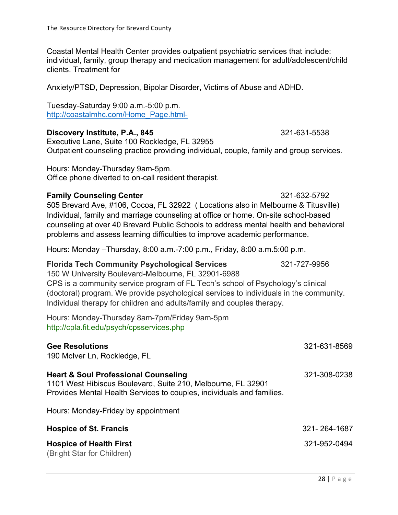Coastal Mental Health Center provides outpatient psychiatric services that include: individual, family, group therapy and medication management for adult/adolescent/child clients. Treatment for

Anxiety/PTSD, Depression, Bipolar Disorder, Victims of Abuse and ADHD.

Tuesday-Saturday 9:00 a.m.-5:00 p.m. http://coastalmhc.com/Home\_Page.html-

#### **Discovery Institute, P.A., 845** 321-631-5538

Executive Lane, Suite 100 Rockledge, FL 32955 Outpatient counseling practice providing individual, couple, family and group services.

Hours: Monday-Thursday 9am-5pm. Office phone diverted to on-call resident therapist.

#### **Family Counseling Center 1988 1998 1221-632-5792**

505 Brevard Ave, #106, Cocoa, FL 32922 ( Locations also in Melbourne & Titusville) Individual, family and marriage counseling at office or home. On-site school-based counseling at over 40 Brevard Public Schools to address mental health and behavioral problems and assess learning difficulties to improve academic performance.

Hours: Monday –Thursday, 8:00 a.m.-7:00 p.m., Friday, 8:00 a.m.5:00 p.m.

| <b>Florida Tech Community Psychological Services</b>                                   | 321-727-9956 |
|----------------------------------------------------------------------------------------|--------------|
| 150 W University Boulevard-Melbourne, FL 32901-6988                                    |              |
| CPS is a community service program of FL Tech's school of Psychology's clinical        |              |
| (doctoral) program. We provide psychological services to individuals in the community. |              |
| Individual therapy for children and adults/family and couples therapy.                 |              |
|                                                                                        |              |

Hours: Monday-Thursday 8am-7pm/Friday 9am-5pm http://cpla.fit.edu/psych/cpsservices.php

| <b>Gee Resolutions</b><br>190 McIver Ln, Rockledge, FL                                                                                                                                   | 321-631-8569 |
|------------------------------------------------------------------------------------------------------------------------------------------------------------------------------------------|--------------|
| <b>Heart &amp; Soul Professional Counseling</b><br>1101 West Hibiscus Boulevard, Suite 210, Melbourne, FL 32901<br>Provides Mental Health Services to couples, individuals and families. | 321-308-0238 |
| Hours: Monday-Friday by appointment                                                                                                                                                      |              |
| <b>Hospice of St. Francis</b>                                                                                                                                                            | 321-264-1687 |
| <b>Hospice of Health First</b><br>(Bright Star for Children)                                                                                                                             | 321-952-0494 |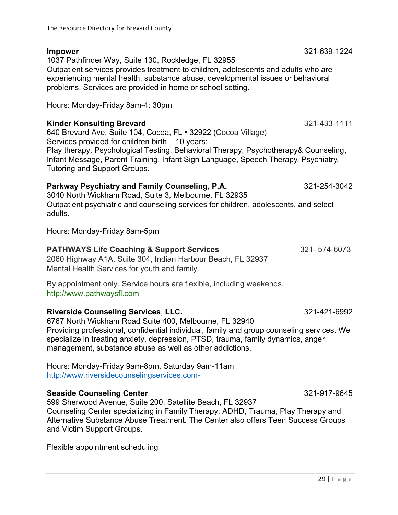1037 Pathfinder Way, Suite 130, Rockledge, FL 32955

Outpatient services provides treatment to children, adolescents and adults who are experiencing mental health, substance abuse, developmental issues or behavioral problems. Services are provided in home or school setting.

Hours: Monday-Friday 8am-4: 30pm

#### **Kinder Konsulting Brevard** 321-433-1111

640 Brevard Ave, Suite 104, Cocoa, FL • 32922 (Cocoa Village) Services provided for children birth – 10 years: Play therapy, Psychological Testing, Behavioral Therapy, Psychotherapy& Counseling, Infant Message, Parent Training, Infant Sign Language, Speech Therapy, Psychiatry, Tutoring and Support Groups.

#### **Parkway Psychiatry and Family Counseling, P.A.** 321-254-3042

3040 North Wickham Road, Suite 3, Melbourne, FL 32935 Outpatient psychiatric and counseling services for children, adolescents, and select adults.

Hours: Monday-Friday 8am-5pm

#### **PATHWAYS Life Coaching & Support Services** 321-574-6073

2060 Highway A1A, Suite 304, Indian Harbour Beach, FL 32937 Mental Health Services for youth and family.

By appointment only. Service hours are flexible, including weekends. http://www.pathwaysfl.com

#### **Riverside Counseling Services, LLC.** 2321-421-6992

6767 North Wickham Road Suite 400, Melbourne, FL 32940 Providing professional, confidential individual, family and group counseling services. We specialize in treating anxiety, depression, PTSD, trauma, family dynamics, anger management, substance abuse as well as other addictions.

Hours: Monday-Friday 9am-8pm, Saturday 9am-11am http://www.riversidecounselingservices.com-

#### **Seaside Counseling Center** 321-917-9645

599 Sherwood Avenue, Suite 200, Satellite Beach, FL 32937 Counseling Center specializing in Family Therapy, ADHD, Trauma, Play Therapy and Alternative Substance Abuse Treatment. The Center also offers Teen Success Groups and Victim Support Groups.

Flexible appointment scheduling

**Impower** 321-639-1224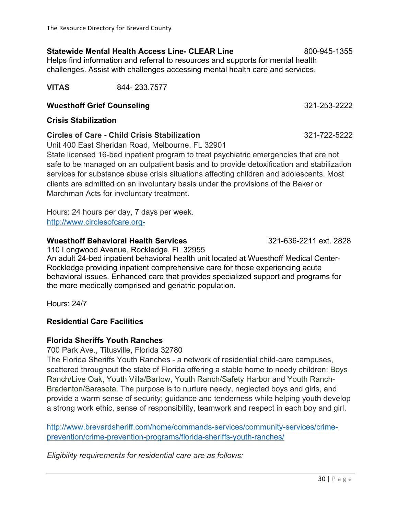#### **Statewide Mental Health Access Line- CLEAR Line** 800-945-1355

Helps find information and referral to resources and supports for mental health challenges. Assist with challenges accessing mental health care and services.

**VITAS** 844- 233.7577

#### **Wuesthoff Grief Counseling** 321-253-2222

#### **Crisis Stabilization**

#### **Circles of Care - Child Crisis Stabilization** 321-722-5222

Unit 400 East Sheridan Road, Melbourne, FL 32901

State licensed 16-bed inpatient program to treat psychiatric emergencies that are not safe to be managed on an outpatient basis and to provide detoxification and stabilization services for substance abuse crisis situations affecting children and adolescents. Most clients are admitted on an involuntary basis under the provisions of the Baker or Marchman Acts for involuntary treatment.

Hours: 24 hours per day, 7 days per week. http://www.circlesofcare.org-

#### **Wuesthoff Behavioral Health Services** 321-636-2211 ext. 2828

110 Longwood Avenue, Rockledge, FL 32955

An adult 24-bed inpatient behavioral health unit located at Wuesthoff Medical Center-Rockledge providing inpatient comprehensive care for those experiencing acute behavioral issues. Enhanced care that provides specialized support and programs for the more medically comprised and geriatric population.

Hours: 24/7

#### **Residential Care Facilities**

#### **Florida Sheriffs Youth Ranches**

700 Park Ave., Titusville, Florida 32780

The Florida Sheriffs Youth Ranches - a network of residential child-care campuses, scattered throughout the state of Florida offering a stable home to needy children: Boys Ranch/Live Oak, Youth Villa/Bartow, Youth Ranch/Safety Harbor and Youth Ranch-Bradenton/Sarasota. The purpose is to nurture needy, neglected boys and girls, and provide a warm sense of security; guidance and tenderness while helping youth develop a strong work ethic, sense of responsibility, teamwork and respect in each boy and girl.

http://www.brevardsheriff.com/home/commands-services/community-services/crimeprevention/crime-prevention-programs/florida-sheriffs-youth-ranches/

*Eligibility requirements for residential care are as follows:*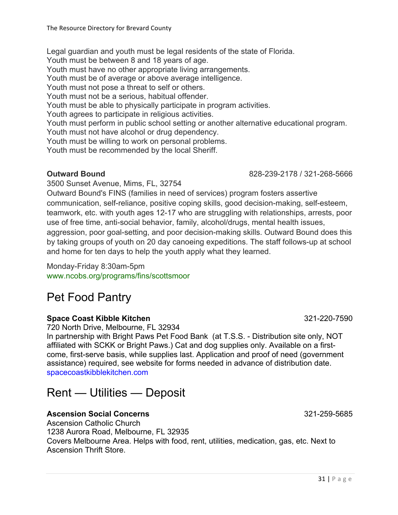Legal guardian and youth must be legal residents of the state of Florida.

Youth must be between 8 and 18 years of age.

Youth must have no other appropriate living arrangements.

Youth must be of average or above average intelligence.

Youth must not pose a threat to self or others.

Youth must not be a serious, habitual offender.

Youth must be able to physically participate in program activities.

Youth agrees to participate in religious activities.

Youth must perform in public school setting or another alternative educational program.

Youth must not have alcohol or drug dependency.

Youth must be willing to work on personal problems.

Youth must be recommended by the local Sheriff.

**Outward Bound** 828-239-2178 / 321-268-5666

3500 Sunset Avenue, Mims, FL, 32754

Outward Bound's FINS (families in need of services) program fosters assertive communication, self-reliance, positive coping skills, good decision-making, self-esteem, teamwork, etc. with youth ages 12-17 who are struggling with relationships, arrests, poor use of free time, anti-social behavior, family, alcohol/drugs, mental health issues, aggression, poor goal-setting, and poor decision-making skills. Outward Bound does this by taking groups of youth on 20 day canoeing expeditions. The staff follows-up at school and home for ten days to help the youth apply what they learned.

Monday-Friday 8:30am-5pm www.ncobs.org/programs/fins/scottsmoor

# Pet Food Pantry

#### **Space Coast Kibble Kitchen** 1988 (321-220-7590)

720 North Drive, Melbourne, FL 32934

In partnership with Bright Paws Pet Food Bank (at T.S.S. - Distribution site only, NOT affiliated with SCKK or Bright Paws.) Cat and dog supplies only. Available on a firstcome, first-serve basis, while supplies last. Application and proof of need (government assistance) required, see website for forms needed in advance of distribution date. spacecoastkibblekitchen.com

# Rent — Utilities — Deposit

#### **Ascension Social Concerns** 321-259-5685

Ascension Catholic Church 1238 Aurora Road, Melbourne, FL 32935 Covers Melbourne Area. Helps with food, rent, utilities, medication, gas, etc. Next to Ascension Thrift Store.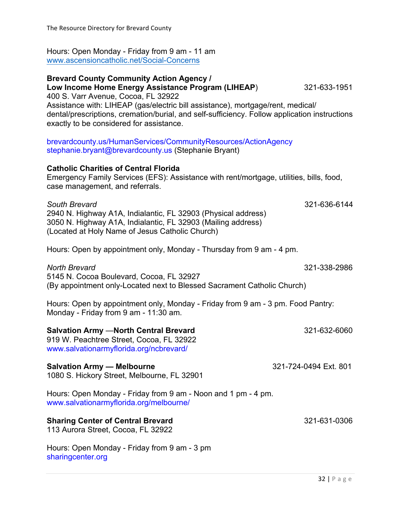Hours: Open Monday - Friday from 9 am - 11 am www.ascensioncatholic.net/Social-Concerns

### **Brevard County Community Action Agency /**

**Low Income Home Energy Assistance Program (LIHEAP)** 321-633-1951

400 S. Varr Avenue, Cocoa, FL 32922

Assistance with: LIHEAP (gas/electric bill assistance), mortgage/rent, medical/ dental/prescriptions, cremation/burial, and self-sufficiency. Follow application instructions exactly to be considered for assistance.

brevardcounty.us/HumanServices/CommunityResources/ActionAgency stephanie.bryant@brevardcounty.us (Stephanie Bryant)

#### **Catholic Charities of Central Florida**

Emergency Family Services (EFS): Assistance with rent/mortgage, utilities, bills, food, case management, and referrals.

*South Brevard* 321-636-6144 2940 N. Highway A1A, Indialantic, FL 32903 (Physical address) 3050 N. Highway A1A, Indialantic, FL 32903 (Mailing address) (Located at Holy Name of Jesus Catholic Church)

Hours: Open by appointment only, Monday - Thursday from 9 am - 4 pm.

*North Brevard* 321-338-2986

(By appointment only-Located next to Blessed Sacrament Catholic Church)

Hours: Open by appointment only, Monday - Friday from 9 am - 3 pm. Food Pantry: Monday - Friday from 9 am - 11:30 am.

#### **Salvation Army** —**North Central Brevard** 321-632-6060

5145 N. Cocoa Boulevard, Cocoa, FL 32927

919 W. Peachtree Street, Cocoa, FL 32922 www.salvationarmyflorida.org/ncbrevard/

#### **Salvation Army — Melbourne** 321-724-0494 Ext. 801

1080 S. Hickory Street, Melbourne, FL 32901

Hours: Open Monday - Friday from 9 am - Noon and 1 pm - 4 pm. www.salvationarmyflorida.org/melbourne/

#### **Sharing Center of Central Brevard** 321-631-0306

113 Aurora Street, Cocoa, FL 32922

Hours: Open Monday - Friday from 9 am - 3 pm sharingcenter.org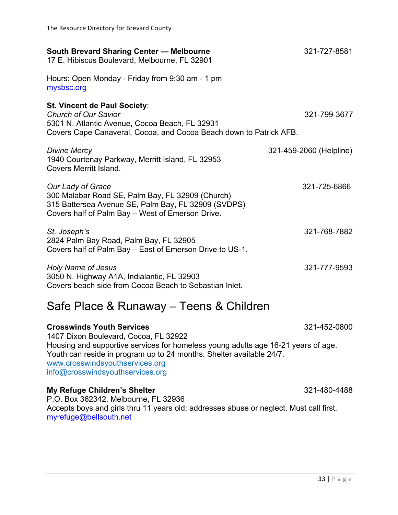| <b>South Brevard Sharing Center - Melbourne</b><br>17 E. Hibiscus Boulevard, Melbourne, FL 32901                                                                                    | 321-727-8581            |
|-------------------------------------------------------------------------------------------------------------------------------------------------------------------------------------|-------------------------|
| Hours: Open Monday - Friday from 9:30 am - 1 pm<br>mysbsc.org                                                                                                                       |                         |
| St. Vincent de Paul Society:<br><b>Church of Our Savior</b><br>5301 N. Atlantic Avenue, Cocoa Beach, FL 32931<br>Covers Cape Canaveral, Cocoa, and Cocoa Beach down to Patrick AFB. | 321-799-3677            |
| <b>Divine Mercy</b><br>1940 Courtenay Parkway, Merritt Island, FL 32953<br>Covers Merritt Island.                                                                                   | 321-459-2060 (Helpline) |
| Our Lady of Grace<br>300 Malabar Road SE, Palm Bay, FL 32909 (Church)<br>315 Battersea Avenue SE, Palm Bay, FL 32909 (SVDPS)<br>Covers half of Palm Bay - West of Emerson Drive.    | 321-725-6866            |
| St. Joseph's<br>2824 Palm Bay Road, Palm Bay, FL 32905<br>Covers half of Palm Bay - East of Emerson Drive to US-1.                                                                  | 321-768-7882            |
| Holy Name of Jesus<br>3050 N. Highway A1A, Indialantic, FL 32903<br>Covers beach side from Cocoa Beach to Sebastian Inlet.                                                          | 321-777-9593            |

# Safe Place & Runaway – Teens & Children

**Crosswinds Youth Services** 321-452-0800 1407 Dixon Boulevard, Cocoa, FL 32922 Housing and supportive services for homeless young adults age 16-21 years of age. Youth can reside in program up to 24 months. Shelter available 24/7. www.crosswindsyouthservices.org info@crosswindsyouthservices.org

#### **My Refuge Children's Shelter** 321-480-4488

P.O. Box 362342, Melbourne, FL 32936 Accepts boys and girls thru 11 years old; addresses abuse or neglect. Must call first. myrefuge@bellsouth.net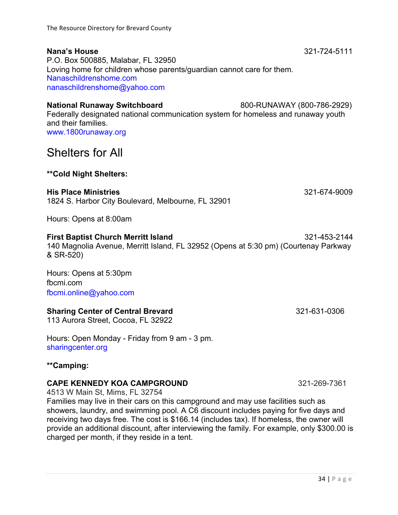#### **Nana's House** 321-724-5111

P.O. Box 500885, Malabar, FL 32950 Loving home for children whose parents/guardian cannot care for them. Nanaschildrenshome.com nanaschildrenshome@yahoo.com

**National Runaway Switchboard** 800-RUNAWAY (800-786-2929) Federally designated national communication system for homeless and runaway youth and their families. www.1800runaway.org

# Shelters for All

#### **\*\*Cold Night Shelters:**

#### **His Place Ministries** 321-674-9009

1824 S. Harbor City Boulevard, Melbourne, FL 32901

Hours: Opens at 8:00am

**First Baptist Church Merritt Island** 321-453-2144 140 Magnolia Avenue, Merritt Island, FL 32952 (Opens at 5:30 pm) (Courtenay Parkway & SR-520)

Hours: Opens at 5:30pm fbcmi.com fbcmi.online@yahoo.com

#### **Sharing Center of Central Brevard**  321-631-0306

113 Aurora Street, Cocoa, FL 32922

Hours: Open Monday - Friday from 9 am - 3 pm. sharingcenter.org

#### **\*\*Camping:**

#### **CAPE KENNEDY KOA CAMPGROUND** 321-269-7361

4513 W Main St, Mims, FL 32754

Families may live in their cars on this campground and may use facilities such as showers, laundry, and swimming pool. A C6 discount includes paying for five days and receiving two days free. The cost is \$166.14 (includes tax). If homeless, the owner will provide an additional discount, after interviewing the family. For example, only \$300.00 is charged per month, if they reside in a tent.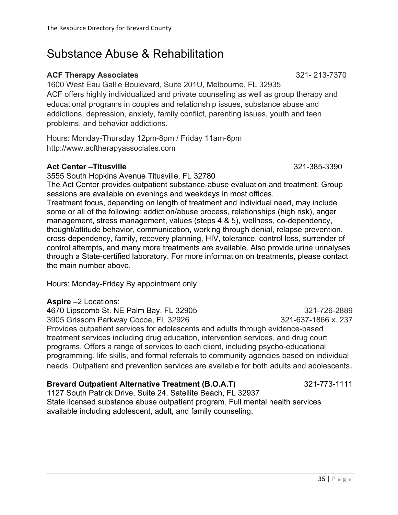# Substance Abuse & Rehabilitation

#### **ACF Therapy Associates** 321- 213-7370

1600 West Eau Gallie Boulevard, Suite 201U, Melbourne, FL 32935 ACF offers highly individualized and private counseling as well as group therapy and educational programs in couples and relationship issues, substance abuse and addictions, depression, anxiety, family conflict, parenting issues, youth and teen problems, and behavior addictions.

Hours: Monday-Thursday 12pm-8pm / Friday 11am-6pm http://www.acftherapyassociates.com

#### **Act Center –Titusville** 321-385-3390

3555 South Hopkins Avenue Titusville, FL 32780

The Act Center provides outpatient substance-abuse evaluation and treatment. Group sessions are available on evenings and weekdays in most offices.

Treatment focus, depending on length of treatment and individual need, may include some or all of the following: addiction/abuse process, relationships (high risk), anger management, stress management, values (steps 4 & 5), wellness, co-dependency, thought/attitude behavior, communication, working through denial, relapse prevention, cross-dependency, family, recovery planning, HIV, tolerance, control loss, surrender of control attempts, and many more treatments are available. Also provide urine urinalyses through a State-certified laboratory. For more information on treatments, please contact the main number above.

Hours: Monday-Friday By appointment only

#### **Aspire –**2 Locations:

4670 Lipscomb St. NE Palm Bay, FL 32905 321-726-2889 3905 Grissom Parkway Cocoa, FL 32926 321-637-1866 x. 237 Provides outpatient services for adolescents and adults through evidence-based treatment services including drug education, intervention services, and drug court programs. Offers a range of services to each client, including psycho-educational programming, life skills, and formal referrals to community agencies based on individual needs. Outpatient and prevention services are available for both adults and adolescents.

#### **Brevard Outpatient Alternative Treatment (B.O.A.T)** 321-773-1111

1127 South Patrick Drive, Suite 24, Satellite Beach, FL 32937 State licensed substance abuse outpatient program. Full mental health services available including adolescent, adult, and family counseling.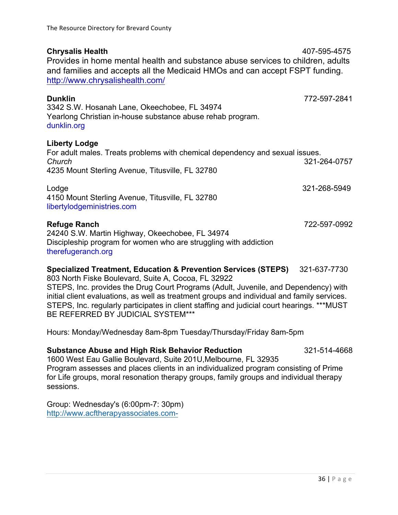**Chrysalis Health** 407-595-4575 Provides in home mental health and substance abuse services to children, adults and families and accepts all the Medicaid HMOs and can accept FSPT funding. http://www.chrysalishealth.com/

| 772-597-2841                                                                 |
|------------------------------------------------------------------------------|
|                                                                              |
|                                                                              |
|                                                                              |
| For adult males. Treats problems with chemical dependency and sexual issues. |
| 321-264-0757                                                                 |
|                                                                              |
| 321-268-5949                                                                 |
|                                                                              |
|                                                                              |
| 722-597-0992                                                                 |
|                                                                              |
|                                                                              |
|                                                                              |

therefugeranch.org

#### **Specialized Treatment, Education & Prevention Services (STEPS)** 321-637-7730

803 North Fiske Boulevard, Suite A, Cocoa, FL 32922 STEPS, Inc. provides the Drug Court Programs (Adult, Juvenile, and Dependency) with initial client evaluations, as well as treatment groups and individual and family services. STEPS, Inc. regularly participates in client staffing and judicial court hearings. \*\*\*MUST BE REFERRED BY JUDICIAL SYSTEM\*\*\*

Hours: Monday/Wednesday 8am-8pm Tuesday/Thursday/Friday 8am-5pm

#### **Substance Abuse and High Risk Behavior Reduction** 321-514-4668

1600 West Eau Gallie Boulevard, Suite 201U,Melbourne, FL 32935 Program assesses and places clients in an individualized program consisting of Prime for Life groups, moral resonation therapy groups, family groups and individual therapy sessions.

Group: Wednesday's (6:00pm-7: 30pm) http://www.acftherapyassociates.com-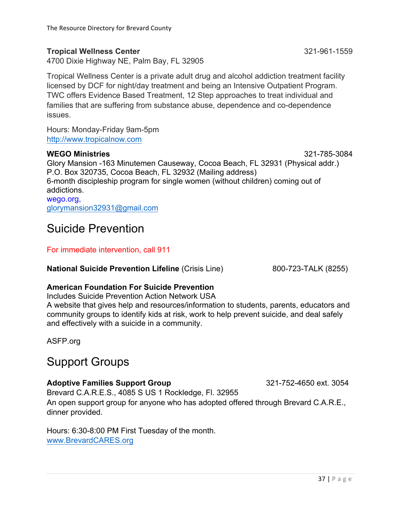#### **Tropical Wellness Center** 321-961-1559

4700 Dixie Highway NE, Palm Bay, FL 32905

Tropical Wellness Center is a private adult drug and alcohol addiction treatment facility licensed by DCF for night/day treatment and being an Intensive Outpatient Program. TWC offers Evidence Based Treatment, 12 Step approaches to treat individual and families that are suffering from substance abuse, dependence and co-dependence issues.

Hours: Monday-Friday 9am-5pm http://www.tropicalnow.com

#### **WEGO Ministries** 321-785-3084

Glory Mansion -163 Minutemen Causeway, Cocoa Beach, FL 32931 (Physical addr.) P.O. Box 320735, Cocoa Beach, FL 32932 (Mailing address) 6-month discipleship program for single women (without children) coming out of addictions. wego.org, glorymansion32931@gmail.com

Suicide Prevention

For immediate intervention, call 911

**National Suicide Prevention Lifeline** (Crisis Line) 800-723-TALK (8255)

#### **American Foundation For Suicide Prevention**

Includes Suicide Prevention Action Network USA

A website that gives help and resources/information to students, parents, educators and community groups to identify kids at risk, work to help prevent suicide, and deal safely and effectively with a suicide in a community.

ASFP.org

# Support Groups

**Adoptive Families Support Group** 321-752-4650 ext. 3054

Brevard C.A.R.E.S., 4085 S US 1 Rockledge, Fl. 32955

An open support group for anyone who has adopted offered through Brevard C.A.R.E., dinner provided.

Hours: 6:30-8:00 PM First Tuesday of the month. www.BrevardCARES.org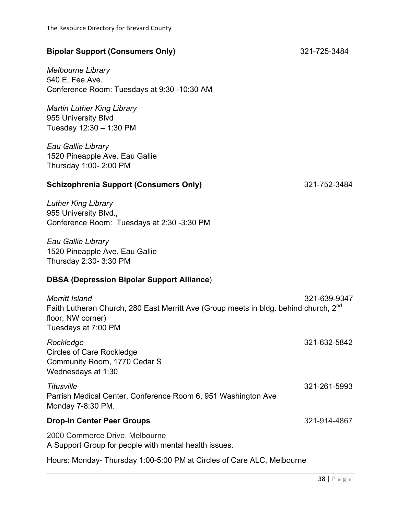#### **Bipolar Support (Consumers Only)** 321-725-3484

*Melbourne Library* 540 E. Fee Ave. Conference Room: Tuesdays at 9:30 -10:30 AM

*Martin Luther King Library* 955 University Blvd Tuesday 12:30 – 1:30 PM

*Eau Gallie Library* 1520 Pineapple Ave. Eau Gallie Thursday 1:00- 2:00 PM

#### Schizophrenia Support (Consumers Only) 321-752-3484

*Luther King Library* 955 University Blvd., Conference Room: Tuesdays at 2:30 -3:30 PM

*Eau Gallie Library* 1520 Pineapple Ave. Eau Gallie Thursday 2:30- 3:30 PM

#### **DBSA (Depression Bipolar Support Alliance**)

| Merritt Island<br>Faith Lutheran Church, 280 East Merritt Ave (Group meets in bldg. behind church, 2 <sup>nd</sup><br>floor, NW corner)<br>Tuesdays at 7:00 PM | 321-639-9347 |
|----------------------------------------------------------------------------------------------------------------------------------------------------------------|--------------|
| Rockledge<br><b>Circles of Care Rockledge</b><br>Community Room, 1770 Cedar S<br>Wednesdays at 1:30                                                            | 321-632-5842 |
| Titusville<br>Parrish Medical Center, Conference Room 6, 951 Washington Ave<br>Monday 7-8:30 PM.                                                               | 321-261-5993 |
| <b>Drop-In Center Peer Groups</b>                                                                                                                              | 321-914-4867 |
| 2000 Commerce Drive, Melbourne<br>A Support Group for people with mental health issues.                                                                        |              |

Hours: Monday- Thursday 1:00-5:00 PM at Circles of Care ALC, Melbourne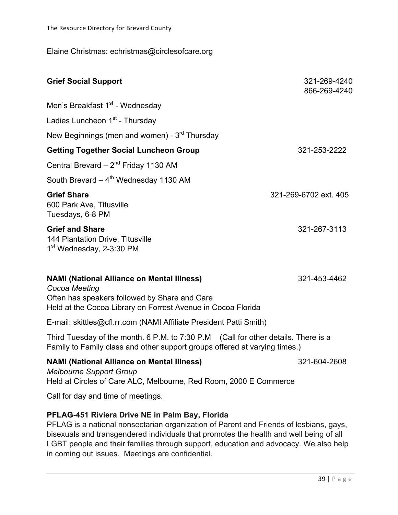### Elaine Christmas: echristmas@circlesofcare.org

in coming out issues. Meetings are confidential.

| <b>Grief Social Support</b>                                                                                                                                                                                                                                                                                                 | 321-269-4240<br>866-269-4240 |
|-----------------------------------------------------------------------------------------------------------------------------------------------------------------------------------------------------------------------------------------------------------------------------------------------------------------------------|------------------------------|
| Men's Breakfast 1 <sup>st</sup> - Wednesday                                                                                                                                                                                                                                                                                 |                              |
| Ladies Luncheon 1 <sup>st</sup> - Thursday                                                                                                                                                                                                                                                                                  |                              |
| New Beginnings (men and women) - 3rd Thursday                                                                                                                                                                                                                                                                               |                              |
| <b>Getting Together Social Luncheon Group</b>                                                                                                                                                                                                                                                                               | 321-253-2222                 |
| Central Brevard - 2 <sup>nd</sup> Friday 1130 AM                                                                                                                                                                                                                                                                            |                              |
| South Brevard $-4^{th}$ Wednesday 1130 AM                                                                                                                                                                                                                                                                                   |                              |
| <b>Grief Share</b><br>600 Park Ave, Titusville<br>Tuesdays, 6-8 PM                                                                                                                                                                                                                                                          | 321-269-6702 ext. 405        |
| <b>Grief and Share</b><br>144 Plantation Drive, Titusville<br>1 <sup>st</sup> Wednesday, 2-3:30 PM                                                                                                                                                                                                                          | 321-267-3113                 |
| <b>NAMI (National Alliance on Mental Illness)</b><br>Cocoa Meeting<br>Often has speakers followed by Share and Care<br>Held at the Cocoa Library on Forrest Avenue in Cocoa Florida                                                                                                                                         | 321-453-4462                 |
| E-mail: skittles@cfl.rr.com (NAMI Affiliate President Patti Smith)                                                                                                                                                                                                                                                          |                              |
| Third Tuesday of the month. 6 P.M. to 7:30 P.M (Call for other details. There is a<br>Family to Family class and other support groups offered at varying times.)                                                                                                                                                            |                              |
| <b>NAMI (National Alliance on Mental Illness)</b><br><b>Melbourne Support Group</b><br>Held at Circles of Care ALC, Melbourne, Red Room, 2000 E Commerce                                                                                                                                                                    | 321-604-2608                 |
| Call for day and time of meetings.                                                                                                                                                                                                                                                                                          |                              |
| PFLAG-451 Riviera Drive NE in Palm Bay, Florida<br>PFLAG is a national nonsectarian organization of Parent and Friends of lesbians, gays,<br>bisexuals and transgendered individuals that promotes the health and well being of all<br>LGBT people and their families through support, education and advocacy. We also help |                              |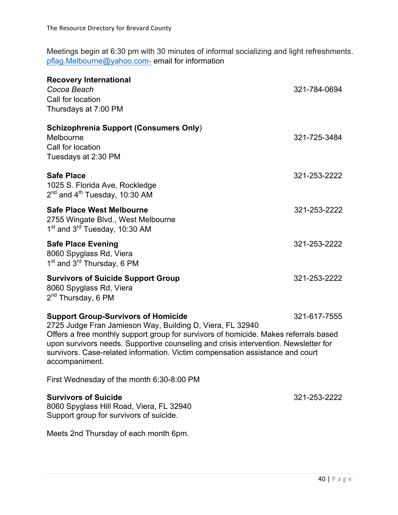Meetings begin at 6:30 pm with 30 minutes of informal socializing and light refreshments. pflag.Melbourne@yahoo.com- email for information

| <b>Recovery International</b><br>Cocoa Beach<br>Call for location<br>Thursdays at 7:00 PM                                                                                                                                                                                                                                                                                                 | 321-784-0694 |
|-------------------------------------------------------------------------------------------------------------------------------------------------------------------------------------------------------------------------------------------------------------------------------------------------------------------------------------------------------------------------------------------|--------------|
| <b>Schizophrenia Support (Consumers Only)</b><br>Melbourne<br>Call for location<br>Tuesdays at 2:30 PM                                                                                                                                                                                                                                                                                    | 321-725-3484 |
| <b>Safe Place</b><br>1025 S. Florida Ave, Rockledge<br>$2^{nd}$ and $4^{th}$ Tuesday, 10:30 AM                                                                                                                                                                                                                                                                                            | 321-253-2222 |
| <b>Safe Place West Melbourne</b><br>2755 Wingate Blvd., West Melbourne<br>1 <sup>st</sup> and 3 <sup>rd</sup> Tuesday, 10:30 AM                                                                                                                                                                                                                                                           | 321-253-2222 |
| <b>Safe Place Evening</b><br>8060 Spyglass Rd, Viera<br>1 <sup>st</sup> and 3 <sup>rd</sup> Thursday, 6 PM                                                                                                                                                                                                                                                                                | 321-253-2222 |
| <b>Survivors of Suicide Support Group</b><br>8060 Spyglass Rd, Viera<br>2 <sup>nd</sup> Thursday, 6 PM                                                                                                                                                                                                                                                                                    | 321-253-2222 |
| <b>Support Group-Survivors of Homicide</b><br>2725 Judge Fran Jamieson Way, Building D, Viera, FL 32940<br>Offers a free monthly support group for survivors of homicide. Makes referrals based<br>upon survivors needs. Supportive counseling and crisis intervention. Newsletter for<br>survivors. Case-related information. Victim compensation assistance and court<br>accompaniment. | 321-617-7555 |
| First Wednesday of the month 6:30-8:00 PM<br><b>Survivors of Suicide</b><br>8060 Spyglass Hill Road, Viera, FL 32940<br>Support group for survivors of suicide.                                                                                                                                                                                                                           | 321-253-2222 |

Meets 2nd Thursday of each month 6pm.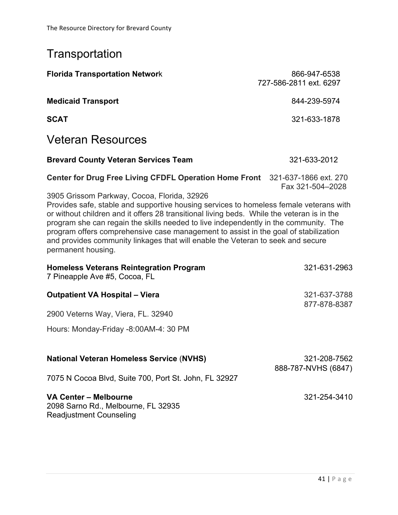# **Transportation**

| <b>Florida Transportation Network</b>                                                                                                                                                                                                                                                                                                                                                                                                                                                                                       | 866-947-6538                        |
|-----------------------------------------------------------------------------------------------------------------------------------------------------------------------------------------------------------------------------------------------------------------------------------------------------------------------------------------------------------------------------------------------------------------------------------------------------------------------------------------------------------------------------|-------------------------------------|
|                                                                                                                                                                                                                                                                                                                                                                                                                                                                                                                             | 727-586-2811 ext. 6297              |
| <b>Medicaid Transport</b>                                                                                                                                                                                                                                                                                                                                                                                                                                                                                                   | 844-239-5974                        |
| <b>SCAT</b>                                                                                                                                                                                                                                                                                                                                                                                                                                                                                                                 | 321-633-1878                        |
| <b>Veteran Resources</b>                                                                                                                                                                                                                                                                                                                                                                                                                                                                                                    |                                     |
| <b>Brevard County Veteran Services Team</b>                                                                                                                                                                                                                                                                                                                                                                                                                                                                                 | 321-633-2012                        |
| Center for Drug Free Living CFDFL Operation Home Front 321-637-1866 ext. 270                                                                                                                                                                                                                                                                                                                                                                                                                                                | Fax 321-504-2028                    |
| 3905 Grissom Parkway, Cocoa, Florida, 32926<br>Provides safe, stable and supportive housing services to homeless female veterans with<br>or without children and it offers 28 transitional living beds. While the veteran is in the<br>program she can regain the skills needed to live independently in the community. The<br>program offers comprehensive case management to assist in the goal of stabilization<br>and provides community linkages that will enable the Veteran to seek and secure<br>permanent housing. |                                     |
| <b>Homeless Veterans Reintegration Program</b><br>7 Pineapple Ave #5, Cocoa, FL                                                                                                                                                                                                                                                                                                                                                                                                                                             | 321-631-2963                        |
| <b>Outpatient VA Hospital - Viera</b>                                                                                                                                                                                                                                                                                                                                                                                                                                                                                       | 321-637-3788                        |
| 2900 Veterns Way, Viera, FL. 32940                                                                                                                                                                                                                                                                                                                                                                                                                                                                                          | 877-878-8387                        |
| Hours: Monday-Friday -8:00AM-4: 30 PM                                                                                                                                                                                                                                                                                                                                                                                                                                                                                       |                                     |
| <b>National Veteran Homeless Service (NVHS)</b><br>7075 N Cocoa Blvd, Suite 700, Port St. John, FL 32927                                                                                                                                                                                                                                                                                                                                                                                                                    | 321-208-7562<br>888-787-NVHS (6847) |
| VA Center - Melbourne<br>2098 Sarno Rd., Melbourne, FL 32935<br><b>Readjustment Counseling</b>                                                                                                                                                                                                                                                                                                                                                                                                                              | 321-254-3410                        |